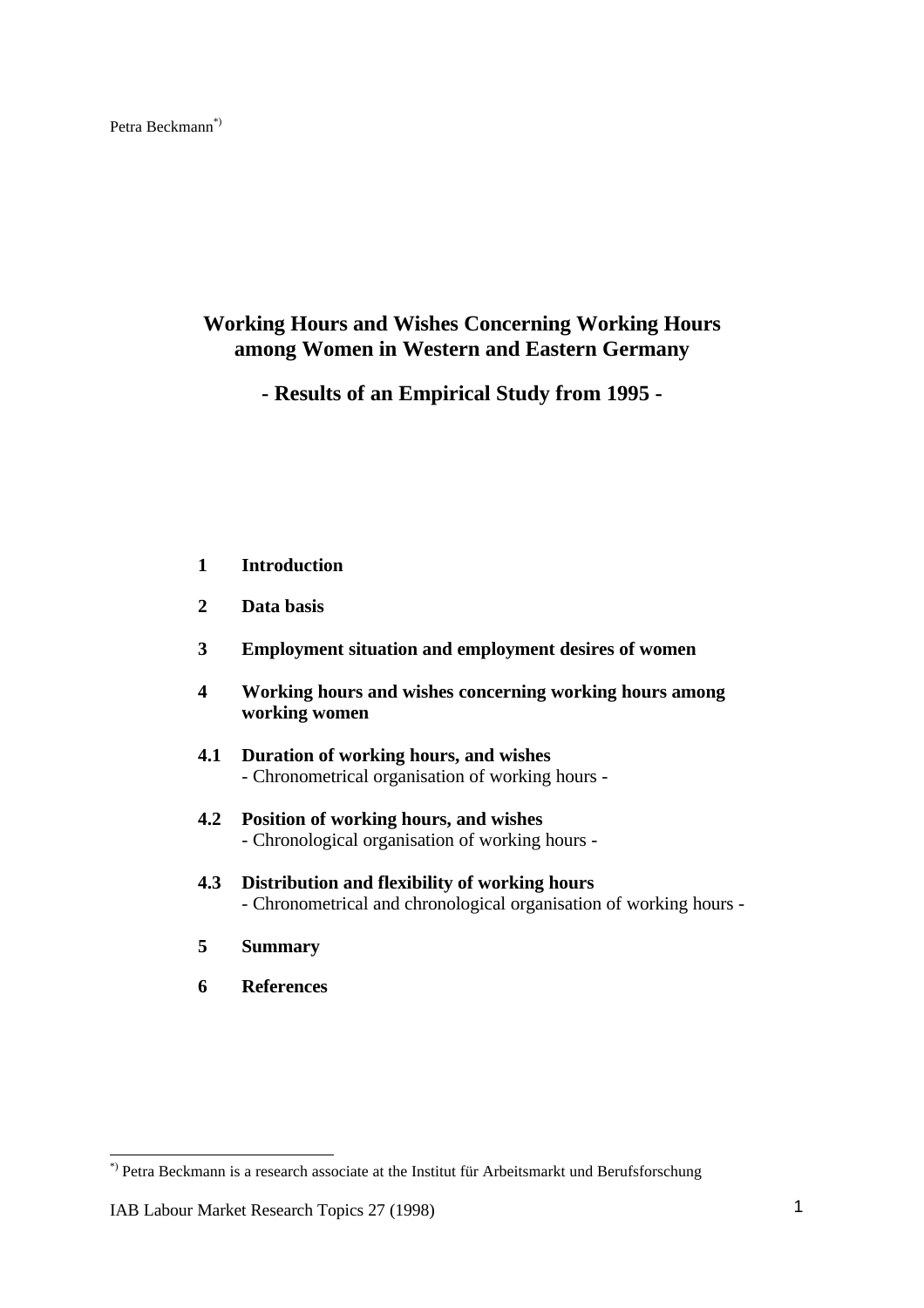# **Working Hours and Wishes Concerning Working Hours among Women in Western and Eastern Germany**

**- Results of an Empirical Study from 1995 -**

- **1 Introduction**
- **2 Data basis**
- **3 Employment situation and employment desires of women**
- **4 Working hours and wishes concerning working hours among working women**
- **4.1 Duration of working hours, and wishes** - Chronometrical organisation of working hours -
- **4.2 Position of working hours, and wishes** - Chronological organisation of working hours -
- **4.3 Distribution and flexibility of working hours** - Chronometrical and chronological organisation of working hours -
- **5 Summary**
- **6 References**

 $\overline{a}$ 

<sup>\*)</sup> Petra Beckmann is a research associate at the Institut für Arbeitsmarkt und Berufsforschung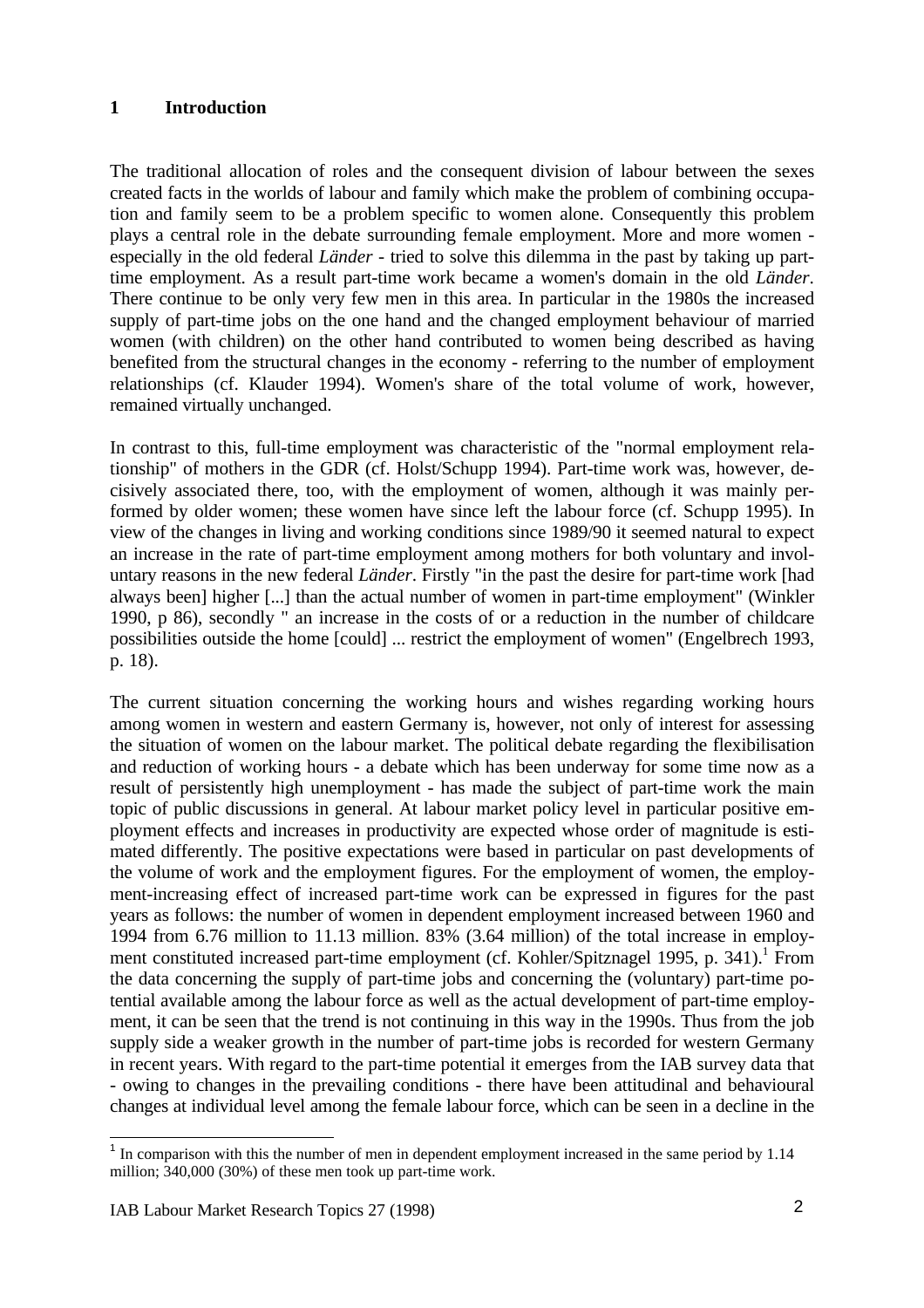### **1 Introduction**

The traditional allocation of roles and the consequent division of labour between the sexes created facts in the worlds of labour and family which make the problem of combining occupation and family seem to be a problem specific to women alone. Consequently this problem plays a central role in the debate surrounding female employment. More and more women especially in the old federal *Länder* - tried to solve this dilemma in the past by taking up parttime employment. As a result part-time work became a women's domain in the old *Länder*. There continue to be only very few men in this area. In particular in the 1980s the increased supply of part-time jobs on the one hand and the changed employment behaviour of married women (with children) on the other hand contributed to women being described as having benefited from the structural changes in the economy - referring to the number of employment relationships (cf. Klauder 1994). Women's share of the total volume of work, however, remained virtually unchanged.

In contrast to this, full-time employment was characteristic of the "normal employment relationship" of mothers in the GDR (cf. Holst/Schupp 1994). Part-time work was, however, decisively associated there, too, with the employment of women, although it was mainly performed by older women; these women have since left the labour force (cf. Schupp 1995). In view of the changes in living and working conditions since 1989/90 it seemed natural to expect an increase in the rate of part-time employment among mothers for both voluntary and involuntary reasons in the new federal *Länder*. Firstly "in the past the desire for part-time work [had always been] higher [...] than the actual number of women in part-time employment" (Winkler 1990, p 86), secondly " an increase in the costs of or a reduction in the number of childcare possibilities outside the home [could] ... restrict the employment of women" (Engelbrech 1993, p. 18).

The current situation concerning the working hours and wishes regarding working hours among women in western and eastern Germany is, however, not only of interest for assessing the situation of women on the labour market. The political debate regarding the flexibilisation and reduction of working hours - a debate which has been underway for some time now as a result of persistently high unemployment - has made the subject of part-time work the main topic of public discussions in general. At labour market policy level in particular positive employment effects and increases in productivity are expected whose order of magnitude is estimated differently. The positive expectations were based in particular on past developments of the volume of work and the employment figures. For the employment of women, the employment-increasing effect of increased part-time work can be expressed in figures for the past years as follows: the number of women in dependent employment increased between 1960 and 1994 from 6.76 million to 11.13 million. 83% (3.64 million) of the total increase in employment constituted increased part-time employment (cf. Kohler/Spitznagel 1995, p. 341).<sup>1</sup> From the data concerning the supply of part-time jobs and concerning the (voluntary) part-time potential available among the labour force as well as the actual development of part-time employment, it can be seen that the trend is not continuing in this way in the 1990s. Thus from the job supply side a weaker growth in the number of part-time jobs is recorded for western Germany in recent years. With regard to the part-time potential it emerges from the IAB survey data that - owing to changes in the prevailing conditions - there have been attitudinal and behavioural changes at individual level among the female labour force, which can be seen in a decline in the

<sup>&</sup>lt;sup>1</sup> In comparison with this the number of men in dependent employment increased in the same period by 1.14 million; 340,000 (30%) of these men took up part-time work.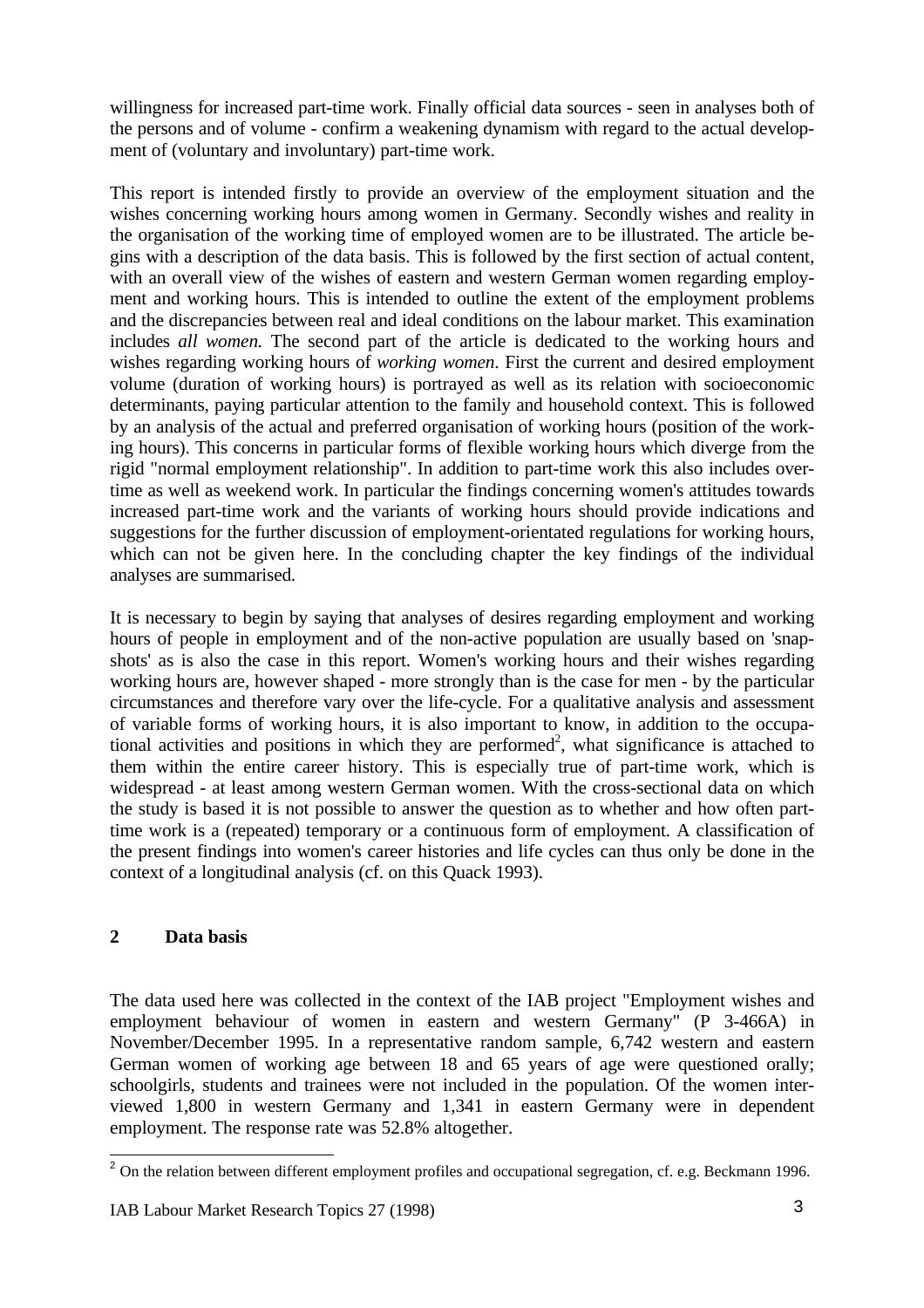willingness for increased part-time work. Finally official data sources - seen in analyses both of the persons and of volume - confirm a weakening dynamism with regard to the actual development of (voluntary and involuntary) part-time work.

This report is intended firstly to provide an overview of the employment situation and the wishes concerning working hours among women in Germany. Secondly wishes and reality in the organisation of the working time of employed women are to be illustrated. The article begins with a description of the data basis. This is followed by the first section of actual content, with an overall view of the wishes of eastern and western German women regarding employment and working hours. This is intended to outline the extent of the employment problems and the discrepancies between real and ideal conditions on the labour market. This examination includes *all women.* The second part of the article is dedicated to the working hours and wishes regarding working hours of *working women*. First the current and desired employment volume (duration of working hours) is portrayed as well as its relation with socioeconomic determinants, paying particular attention to the family and household context. This is followed by an analysis of the actual and preferred organisation of working hours (position of the working hours). This concerns in particular forms of flexible working hours which diverge from the rigid "normal employment relationship". In addition to part-time work this also includes overtime as well as weekend work. In particular the findings concerning women's attitudes towards increased part-time work and the variants of working hours should provide indications and suggestions for the further discussion of employment-orientated regulations for working hours, which can not be given here. In the concluding chapter the key findings of the individual analyses are summarised.

It is necessary to begin by saying that analyses of desires regarding employment and working hours of people in employment and of the non-active population are usually based on 'snapshots' as is also the case in this report. Women's working hours and their wishes regarding working hours are, however shaped - more strongly than is the case for men - by the particular circumstances and therefore vary over the life-cycle. For a qualitative analysis and assessment of variable forms of working hours, it is also important to know, in addition to the occupational activities and positions in which they are performed<sup>2</sup>, what significance is attached to them within the entire career history. This is especially true of part-time work, which is widespread - at least among western German women. With the cross-sectional data on which the study is based it is not possible to answer the question as to whether and how often parttime work is a (repeated) temporary or a continuous form of employment. A classification of the present findings into women's career histories and life cycles can thus only be done in the context of a longitudinal analysis (cf. on this Quack 1993).

# **2 Data basis**

The data used here was collected in the context of the IAB project "Employment wishes and employment behaviour of women in eastern and western Germany" (P 3-466A) in November/December 1995. In a representative random sample, 6,742 western and eastern German women of working age between 18 and 65 years of age were questioned orally; schoolgirls, students and trainees were not included in the population. Of the women interviewed 1,800 in western Germany and 1,341 in eastern Germany were in dependent employment. The response rate was 52.8% altogether.

j <sup>2</sup> On the relation between different employment profiles and occupational segregation, cf. e.g. Beckmann 1996.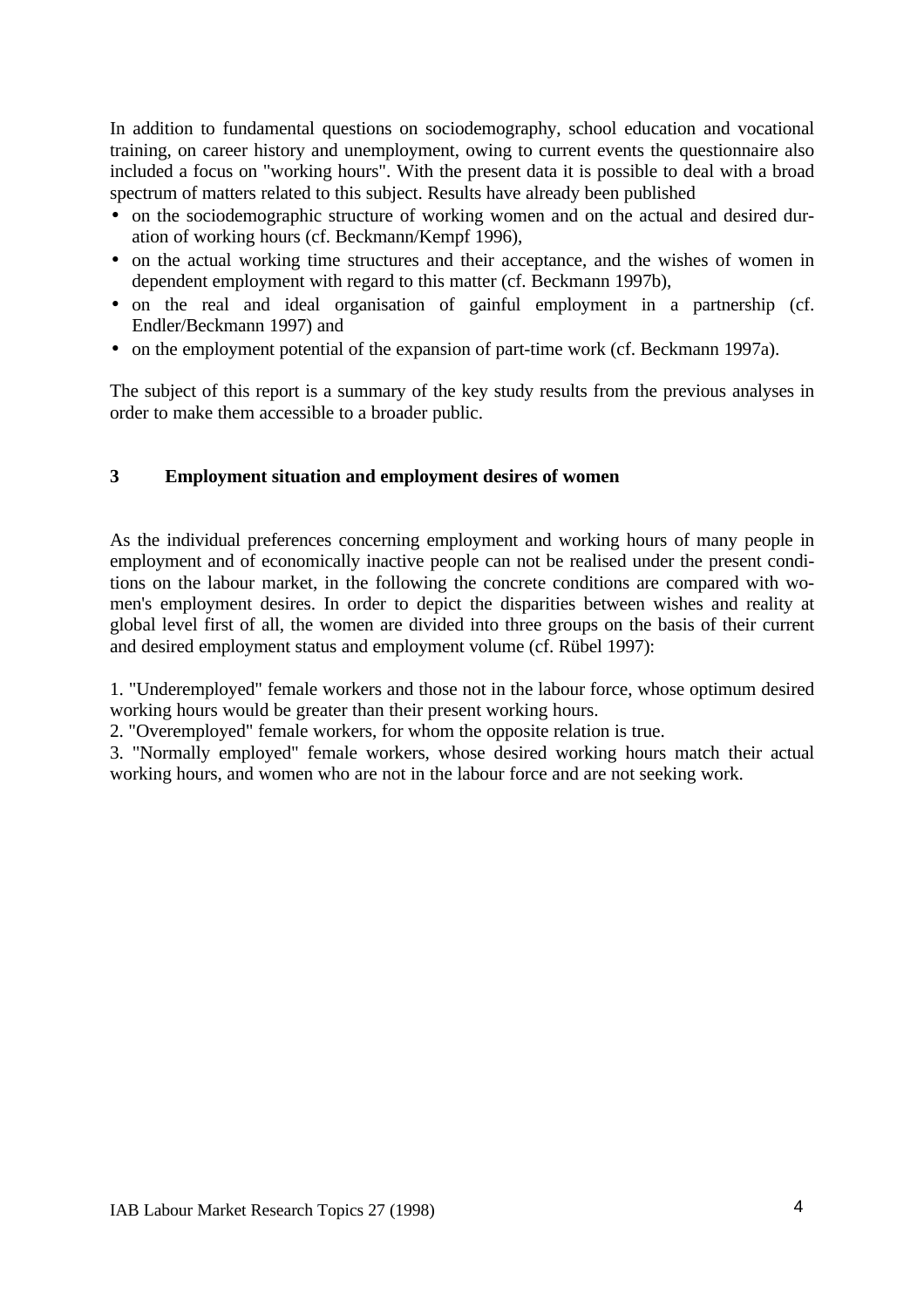In addition to fundamental questions on sociodemography, school education and vocational training, on career history and unemployment, owing to current events the questionnaire also included a focus on "working hours". With the present data it is possible to deal with a broad spectrum of matters related to this subject. Results have already been published

- on the sociodemographic structure of working women and on the actual and desired duration of working hours (cf. Beckmann/Kempf 1996),
- on the actual working time structures and their acceptance, and the wishes of women in dependent employment with regard to this matter (cf. Beckmann 1997b),
- on the real and ideal organisation of gainful employment in a partnership (cf. Endler/Beckmann 1997) and
- on the employment potential of the expansion of part-time work (cf. Beckmann 1997a).

The subject of this report is a summary of the key study results from the previous analyses in order to make them accessible to a broader public.

# **3 Employment situation and employment desires of women**

As the individual preferences concerning employment and working hours of many people in employment and of economically inactive people can not be realised under the present conditions on the labour market, in the following the concrete conditions are compared with women's employment desires. In order to depict the disparities between wishes and reality at global level first of all, the women are divided into three groups on the basis of their current and desired employment status and employment volume (cf. Rübel 1997):

1. "Underemployed" female workers and those not in the labour force, whose optimum desired working hours would be greater than their present working hours.

2. "Overemployed" female workers, for whom the opposite relation is true.

3. "Normally employed" female workers, whose desired working hours match their actual working hours, and women who are not in the labour force and are not seeking work.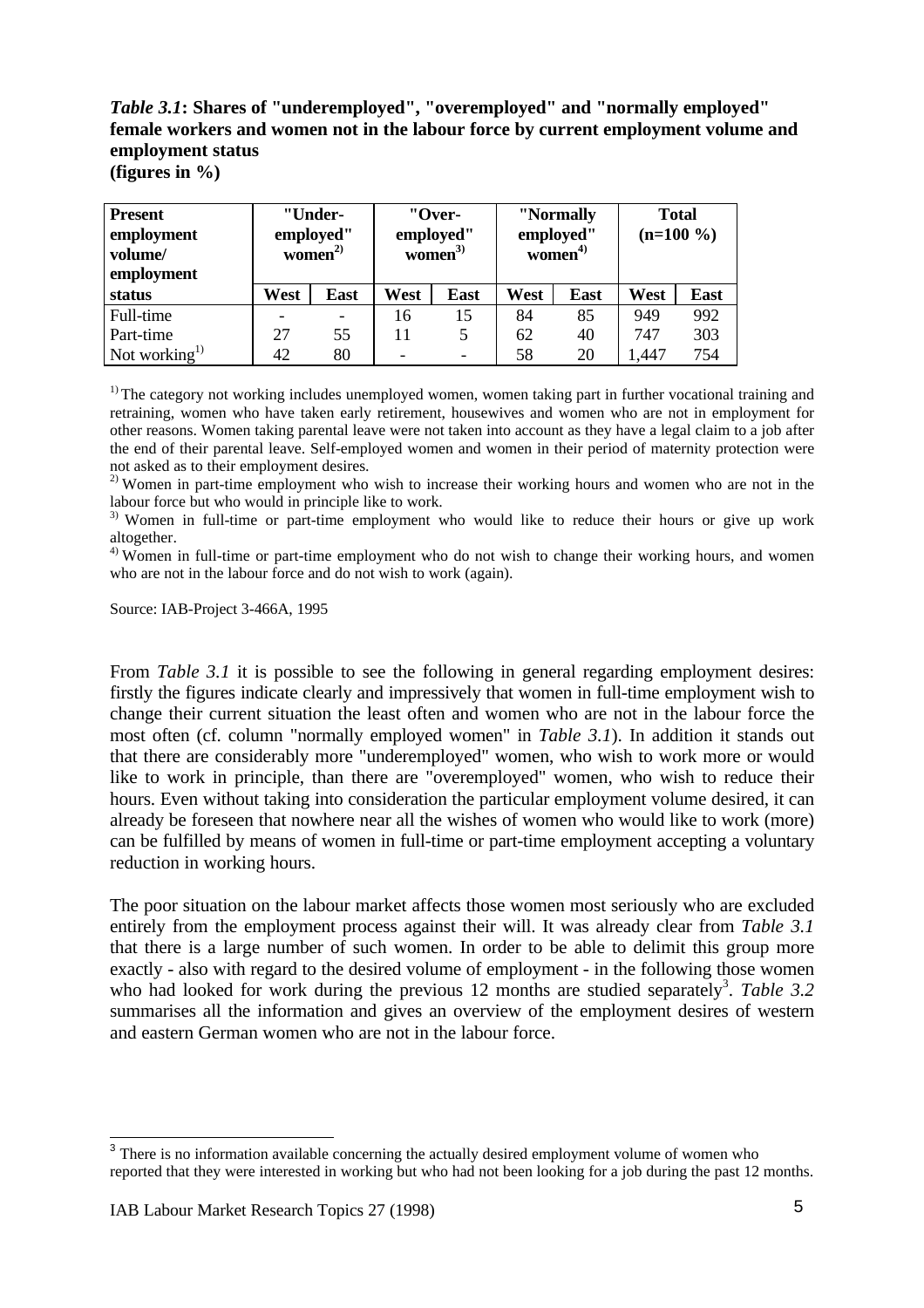# *Table 3.1***: Shares of "underemployed", "overemployed" and "normally employed" female workers and women not in the labour force by current employment volume and employment status**

**(figures in %)**

| <b>Present</b><br>employment<br>volume/<br>employment |      | "Under-<br>employed"<br>women $^{2)}$ | "Over-<br>employed"<br>women $3)$ |      | "Normally<br>employed"<br>women $4$ |      | <b>Total</b><br>$(n=100\%)$ |             |
|-------------------------------------------------------|------|---------------------------------------|-----------------------------------|------|-------------------------------------|------|-----------------------------|-------------|
| status                                                | West | <b>East</b>                           | West                              | East | West                                | East | West                        | <b>East</b> |
| Full-time                                             |      |                                       | 16                                | 15   | 84                                  | 85   | 949                         | 992         |
| Part-time                                             | 27   | 55                                    |                                   | 5    | 62                                  | 40   | 747                         | 303         |
| Not working <sup>1)</sup>                             | 42   | 80                                    |                                   | -    | 58                                  | 20   | ,447                        | 754         |

<sup>1)</sup> The category not working includes unemployed women, women taking part in further vocational training and retraining, women who have taken early retirement, housewives and women who are not in employment for other reasons. Women taking parental leave were not taken into account as they have a legal claim to a job after the end of their parental leave. Self-employed women and women in their period of maternity protection were not asked as to their employment desires.

 $^{2)}$  Women in part-time employment who wish to increase their working hours and women who are not in the labour force but who would in principle like to work.

<sup>3)</sup> Women in full-time or part-time employment who would like to reduce their hours or give up work altogether.

<sup>4)</sup> Women in full-time or part-time employment who do not wish to change their working hours, and women who are not in the labour force and do not wish to work (again).

Source: IAB-Project 3-466A, 1995

From *Table 3.1* it is possible to see the following in general regarding employment desires: firstly the figures indicate clearly and impressively that women in full-time employment wish to change their current situation the least often and women who are not in the labour force the most often (cf. column "normally employed women" in *Table 3.1*). In addition it stands out that there are considerably more "underemployed" women, who wish to work more or would like to work in principle, than there are "overemployed" women, who wish to reduce their hours. Even without taking into consideration the particular employment volume desired, it can already be foreseen that nowhere near all the wishes of women who would like to work (more) can be fulfilled by means of women in full-time or part-time employment accepting a voluntary reduction in working hours.

The poor situation on the labour market affects those women most seriously who are excluded entirely from the employment process against their will. It was already clear from *Table 3.1* that there is a large number of such women. In order to be able to delimit this group more exactly - also with regard to the desired volume of employment - in the following those women who had looked for work during the previous 12 months are studied separately<sup>3</sup>. Table 3.2 summarises all the information and gives an overview of the employment desires of western and eastern German women who are not in the labour force.

<sup>&</sup>lt;sup>3</sup> There is no information available concerning the actually desired employment volume of women who reported that they were interested in working but who had not been looking for a job during the past 12 months.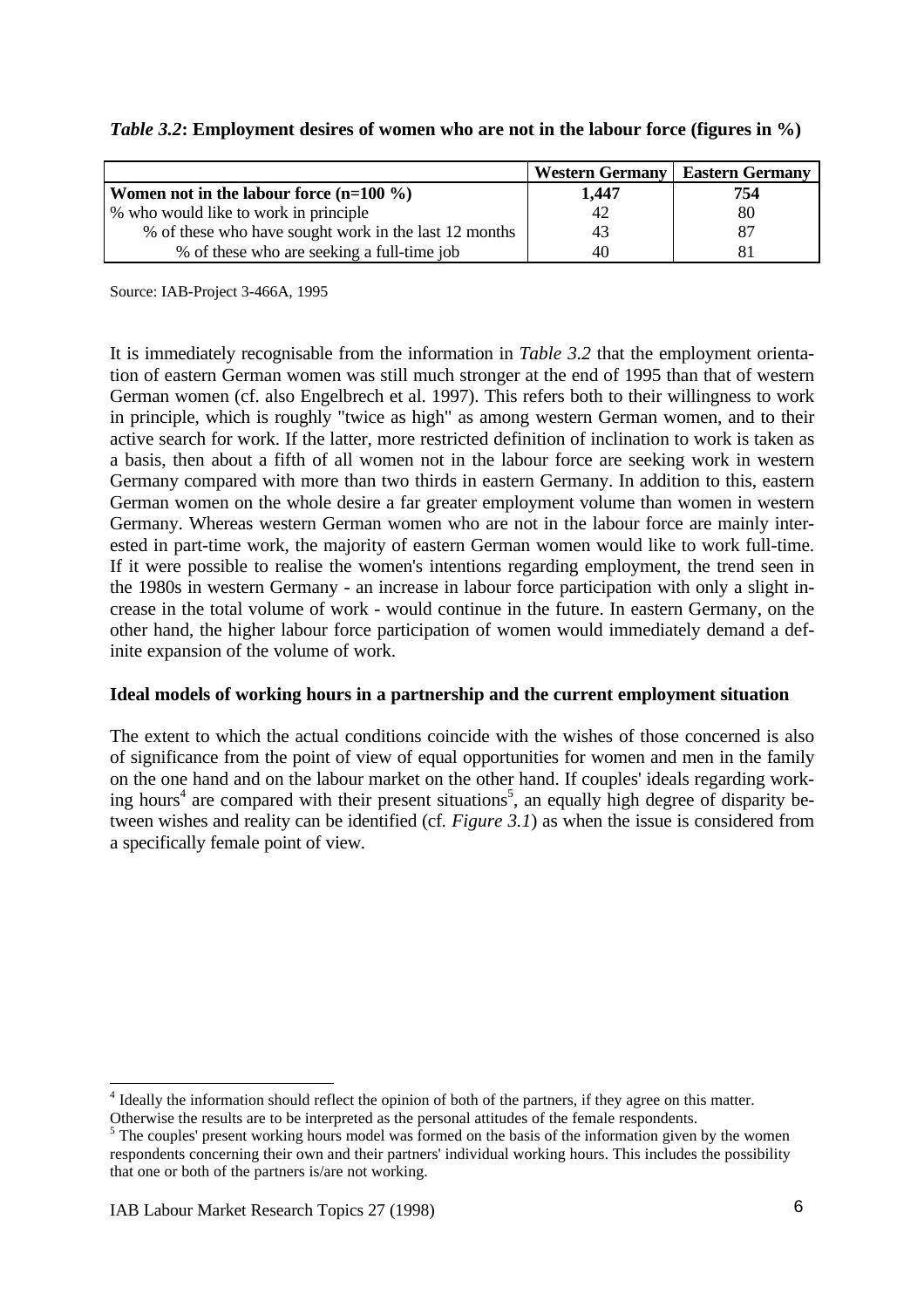### *Table 3.2***: Employment desires of women who are not in the labour force (figures in %)**

|                                                       | <b>Western Germany</b> | <b>Eastern Germany</b> |
|-------------------------------------------------------|------------------------|------------------------|
| Women not in the labour force $(n=100\%)$             | 1,447                  | 754                    |
| \% who would like to work in principle                | 42                     | 80                     |
| % of these who have sought work in the last 12 months | 43                     | 87                     |
| % of these who are seeking a full-time job            | 40                     |                        |

Source: IAB-Project 3-466A, 1995

It is immediately recognisable from the information in *Table 3.2* that the employment orientation of eastern German women was still much stronger at the end of 1995 than that of western German women (cf. also Engelbrech et al. 1997). This refers both to their willingness to work in principle, which is roughly "twice as high" as among western German women, and to their active search for work. If the latter, more restricted definition of inclination to work is taken as a basis, then about a fifth of all women not in the labour force are seeking work in western Germany compared with more than two thirds in eastern Germany. In addition to this, eastern German women on the whole desire a far greater employment volume than women in western Germany. Whereas western German women who are not in the labour force are mainly interested in part-time work, the majority of eastern German women would like to work full-time. If it were possible to realise the women's intentions regarding employment, the trend seen in the 1980s in western Germany - an increase in labour force participation with only a slight increase in the total volume of work - would continue in the future. In eastern Germany, on the other hand, the higher labour force participation of women would immediately demand a definite expansion of the volume of work.

### **Ideal models of working hours in a partnership and the current employment situation**

The extent to which the actual conditions coincide with the wishes of those concerned is also of significance from the point of view of equal opportunities for women and men in the family on the one hand and on the labour market on the other hand. If couples' ideals regarding working hours<sup>4</sup> are compared with their present situations<sup>5</sup>, an equally high degree of disparity between wishes and reality can be identified (cf*. Figure 3.1*) as when the issue is considered from a specifically female point of view.

 $\overline{a}$ 

<sup>&</sup>lt;sup>4</sup> Ideally the information should reflect the opinion of both of the partners, if they agree on this matter.

Otherwise the results are to be interpreted as the personal attitudes of the female respondents.

<sup>&</sup>lt;sup>5</sup> The couples' present working hours model was formed on the basis of the information given by the women respondents concerning their own and their partners' individual working hours. This includes the possibility that one or both of the partners is/are not working.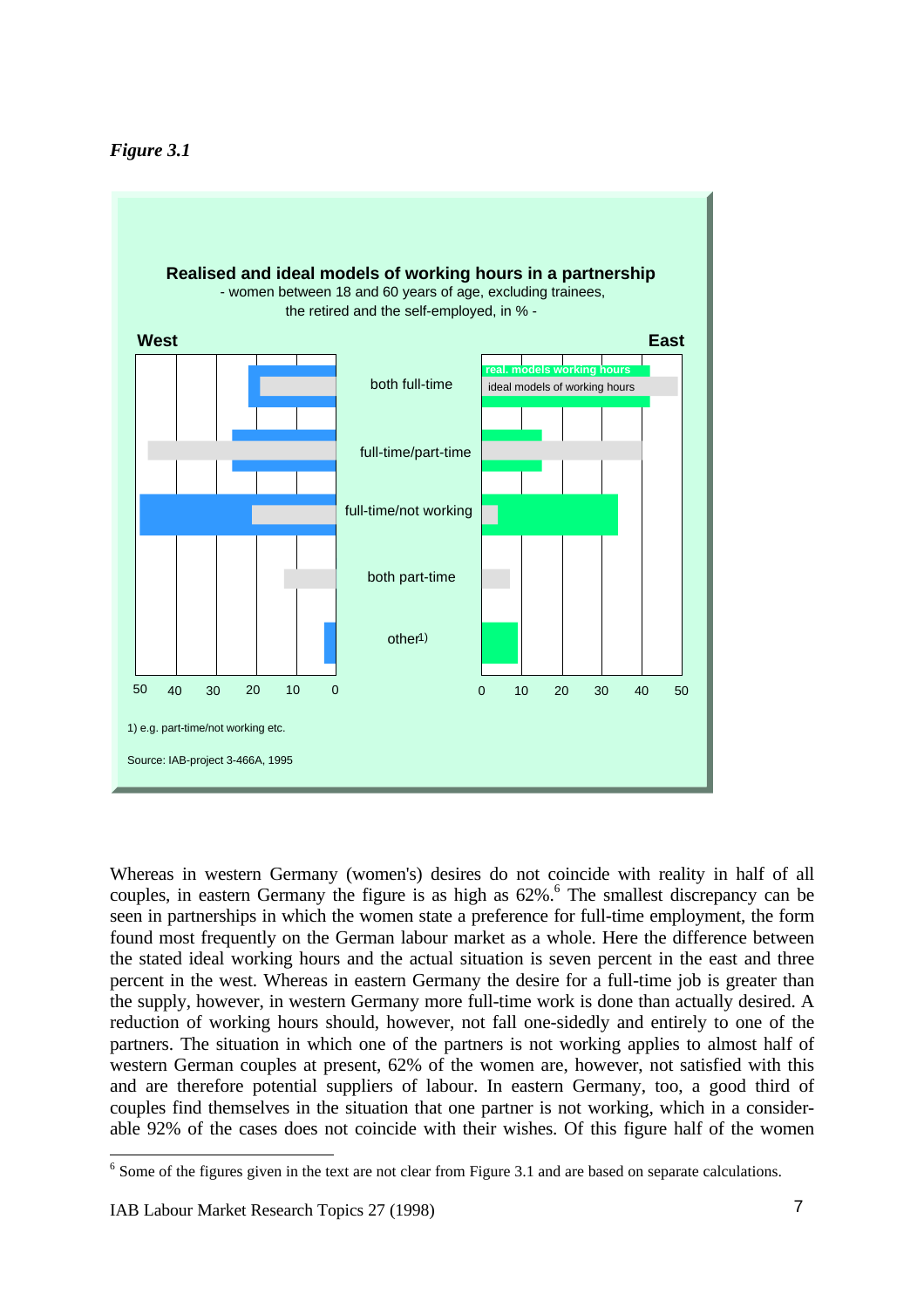



Whereas in western Germany (women's) desires do not coincide with reality in half of all couples, in eastern Germany the figure is as high as 62%.<sup>6</sup> The smallest discrepancy can be seen in partnerships in which the women state a preference for full-time employment, the form found most frequently on the German labour market as a whole. Here the difference between the stated ideal working hours and the actual situation is seven percent in the east and three percent in the west. Whereas in eastern Germany the desire for a full-time job is greater than the supply, however, in western Germany more full-time work is done than actually desired. A reduction of working hours should, however, not fall one-sidedly and entirely to one of the partners. The situation in which one of the partners is not working applies to almost half of western German couples at present, 62% of the women are, however, not satisfied with this and are therefore potential suppliers of labour. In eastern Germany, too, a good third of couples find themselves in the situation that one partner is not working, which in a considerable 92% of the cases does not coincide with their wishes. Of this figure half of the women

 $\overline{a}$ 

<sup>&</sup>lt;sup>6</sup> Some of the figures given in the text are not clear from Figure 3.1 and are based on separate calculations.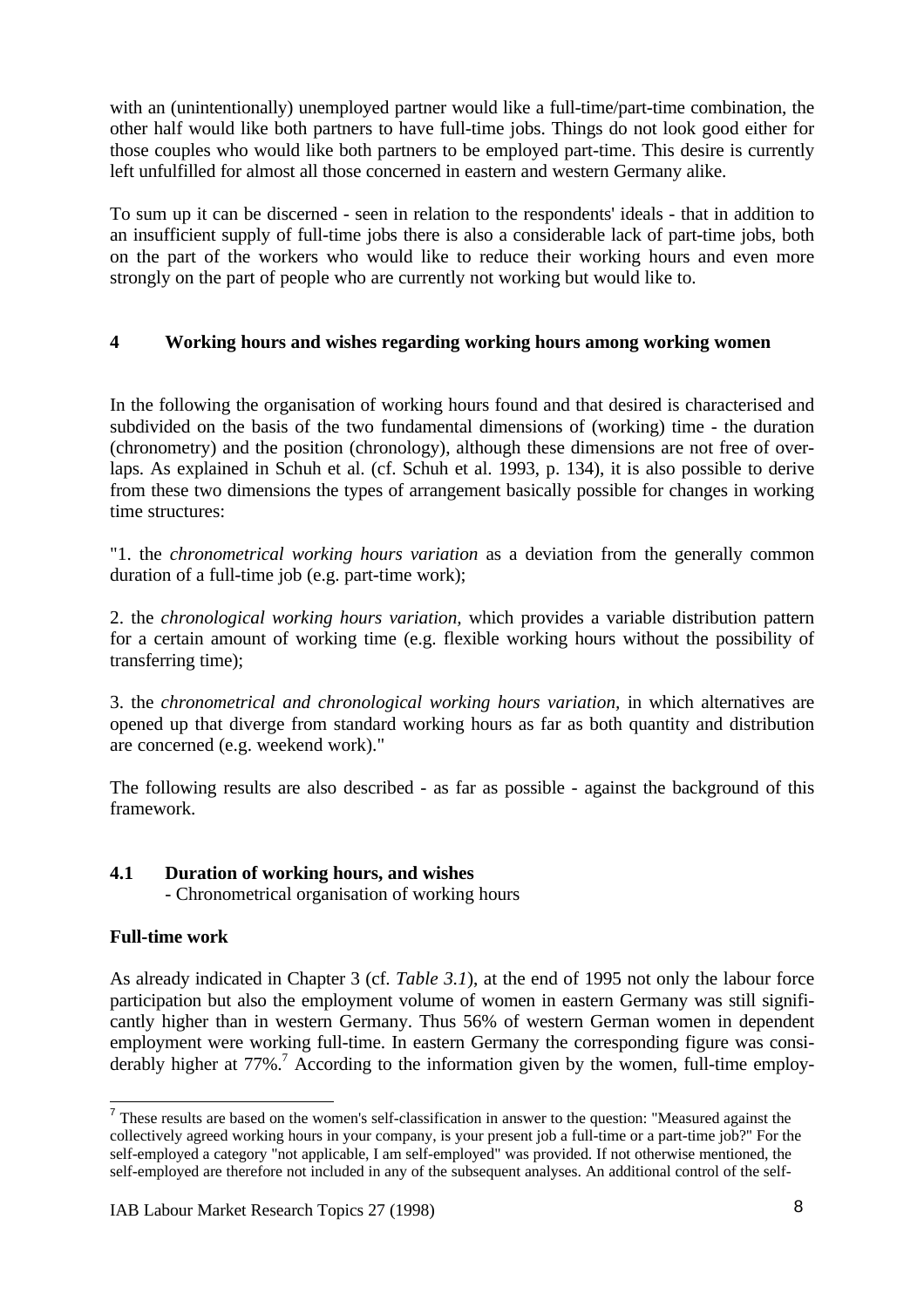with an (unintentionally) unemployed partner would like a full-time/part-time combination, the other half would like both partners to have full-time jobs. Things do not look good either for those couples who would like both partners to be employed part-time. This desire is currently left unfulfilled for almost all those concerned in eastern and western Germany alike.

To sum up it can be discerned - seen in relation to the respondents' ideals - that in addition to an insufficient supply of full-time jobs there is also a considerable lack of part-time jobs, both on the part of the workers who would like to reduce their working hours and even more strongly on the part of people who are currently not working but would like to.

# **4 Working hours and wishes regarding working hours among working women**

In the following the organisation of working hours found and that desired is characterised and subdivided on the basis of the two fundamental dimensions of (working) time - the duration (chronometry) and the position (chronology), although these dimensions are not free of overlaps. As explained in Schuh et al. (cf. Schuh et al. 1993, p. 134), it is also possible to derive from these two dimensions the types of arrangement basically possible for changes in working time structures:

"1. the *chronometrical working hours variation* as a deviation from the generally common duration of a full-time job (e.g. part-time work);

2. the *chronological working hours variation,* which provides a variable distribution pattern for a certain amount of working time (e.g. flexible working hours without the possibility of transferring time);

3. the *chronometrical and chronological working hours variation,* in which alternatives are opened up that diverge from standard working hours as far as both quantity and distribution are concerned (e.g. weekend work)."

The following results are also described - as far as possible - against the background of this framework.

# **4.1 Duration of working hours, and wishes**

- Chronometrical organisation of working hours

# **Full-time work**

-

As already indicated in Chapter 3 (cf. *Table 3.1*), at the end of 1995 not only the labour force participation but also the employment volume of women in eastern Germany was still significantly higher than in western Germany. Thus 56% of western German women in dependent employment were working full-time. In eastern Germany the corresponding figure was considerably higher at  $77\%$ .<sup>7</sup> According to the information given by the women, full-time employ-

<sup>&</sup>lt;sup>7</sup> These results are based on the women's self-classification in answer to the question: "Measured against the collectively agreed working hours in your company, is your present job a full-time or a part-time job?" For the self-employed a category "not applicable, I am self-employed" was provided. If not otherwise mentioned, the self-employed are therefore not included in any of the subsequent analyses. An additional control of the self-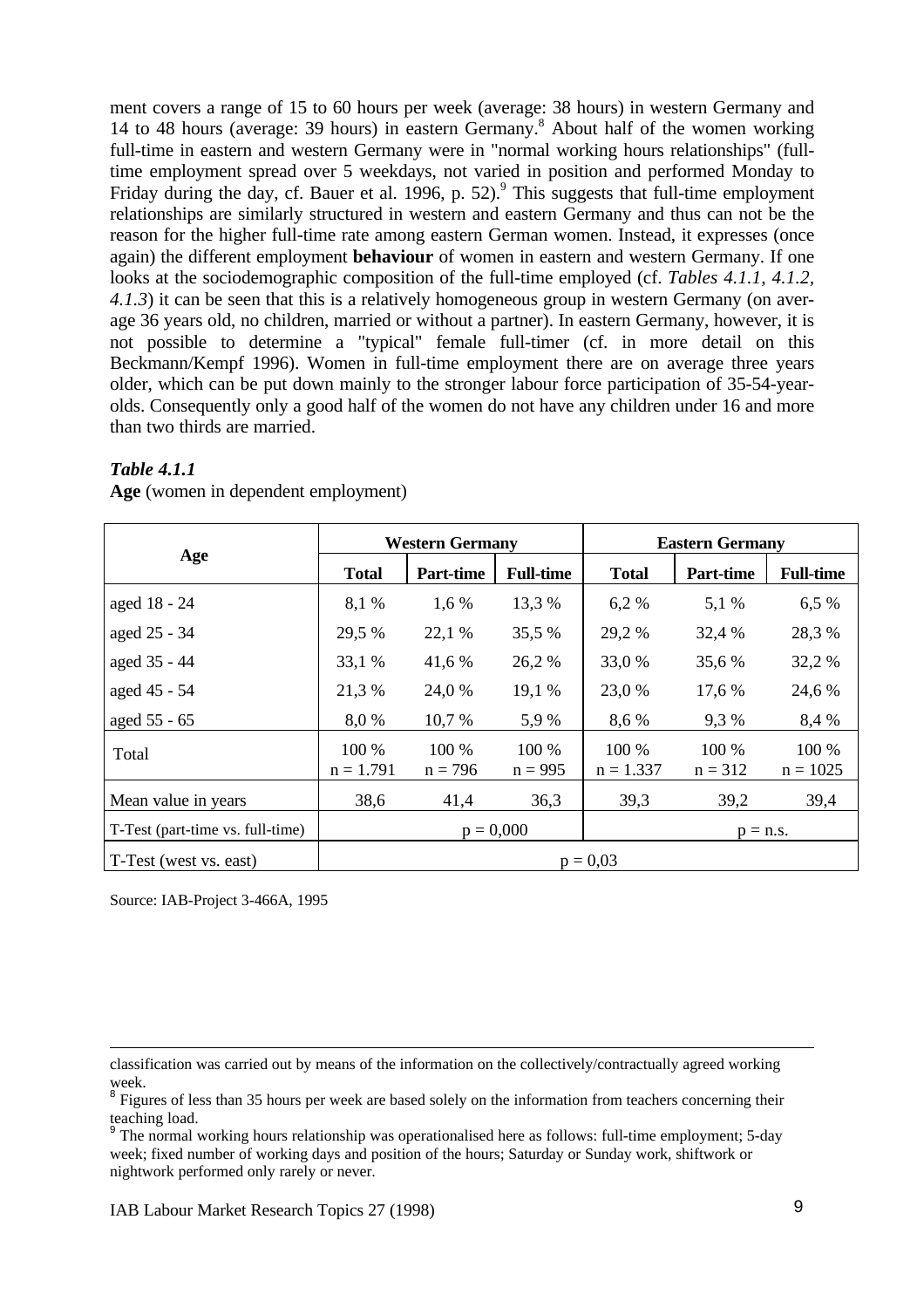ment covers a range of 15 to 60 hours per week (average: 38 hours) in western Germany and 14 to 48 hours (average: 39 hours) in eastern Germany.<sup>8</sup> About half of the women working full-time in eastern and western Germany were in "normal working hours relationships" (fulltime employment spread over 5 weekdays, not varied in position and performed Monday to Friday during the day, cf. Bauer et al. 1996, p. 52).<sup>9</sup> This suggests that full-time employment relationships are similarly structured in western and eastern Germany and thus can not be the reason for the higher full-time rate among eastern German women. Instead, it expresses (once again) the different employment **behaviour** of women in eastern and western Germany. If one looks at the sociodemographic composition of the full-time employed (cf. *Tables 4.1.1, 4.1.2, 4.1.3*) it can be seen that this is a relatively homogeneous group in western Germany (on average 36 years old, no children, married or without a partner). In eastern Germany, however, it is not possible to determine a "typical" female full-timer (cf. in more detail on this Beckmann/Kempf 1996). Women in full-time employment there are on average three years older, which can be put down mainly to the stronger labour force participation of 35-54-yearolds. Consequently only a good half of the women do not have any children under 16 and more than two thirds are married.

|                                  |                      | <b>Western Germany</b> |                    | <b>Eastern Germany</b> |                    |                     |  |  |
|----------------------------------|----------------------|------------------------|--------------------|------------------------|--------------------|---------------------|--|--|
| Age                              | <b>Total</b>         | <b>Part-time</b>       | <b>Full-time</b>   | <b>Total</b>           | Part-time          | <b>Full-time</b>    |  |  |
| aged 18 - 24                     | 8,1 %                | 1,6 %                  | 13,3 %             | 6,2%                   | 5,1 %              | 6,5 %               |  |  |
| aged 25 - 34                     | 29,5 %               | 22,1 %                 | 35,5 %             | 29,2 %                 | 32,4 %             | 28,3 %              |  |  |
| aged 35 - 44                     | 33,1 %               | 41,6 %                 | 26,2 %             | 33,0 %                 | 35,6 %             | 32,2 %              |  |  |
| aged 45 - 54                     | 21,3 %               | 24,0 %                 | 19,1 %             | 23,0 %                 | 17,6 %             | 24,6 %              |  |  |
| aged 55 - 65                     | 8,0%                 | 10,7 %                 | 5,9 %              | 8,6 %                  | 9,3 %              | 8,4 %               |  |  |
| Total                            | 100 %<br>$n = 1.791$ | 100 %<br>$n = 796$     | 100 %<br>$n = 995$ | 100 %<br>$n = 1.337$   | 100 %<br>$n = 312$ | 100 %<br>$n = 1025$ |  |  |
| Mean value in years              | 38,6                 | 41,4                   | 36,3               | 39,3                   | 39,2               | 39,4                |  |  |
| T-Test (part-time vs. full-time) |                      |                        | $p = 0,000$        |                        | $p = n.s.$         |                     |  |  |
| T-Test (west vs. east)           | $p = 0.03$           |                        |                    |                        |                    |                     |  |  |

#### *Table 4.1.1*

**Age** (women in dependent employment)

Source: IAB-Project 3-466A, 1995

-

classification was carried out by means of the information on the collectively/contractually agreed working

week. 8 Figures of less than 35 hours per week are based solely on the information from teachers concerning their teaching load.

<sup>9</sup> The normal working hours relationship was operationalised here as follows: full-time employment; 5-day week; fixed number of working days and position of the hours; Saturday or Sunday work, shiftwork or nightwork performed only rarely or never.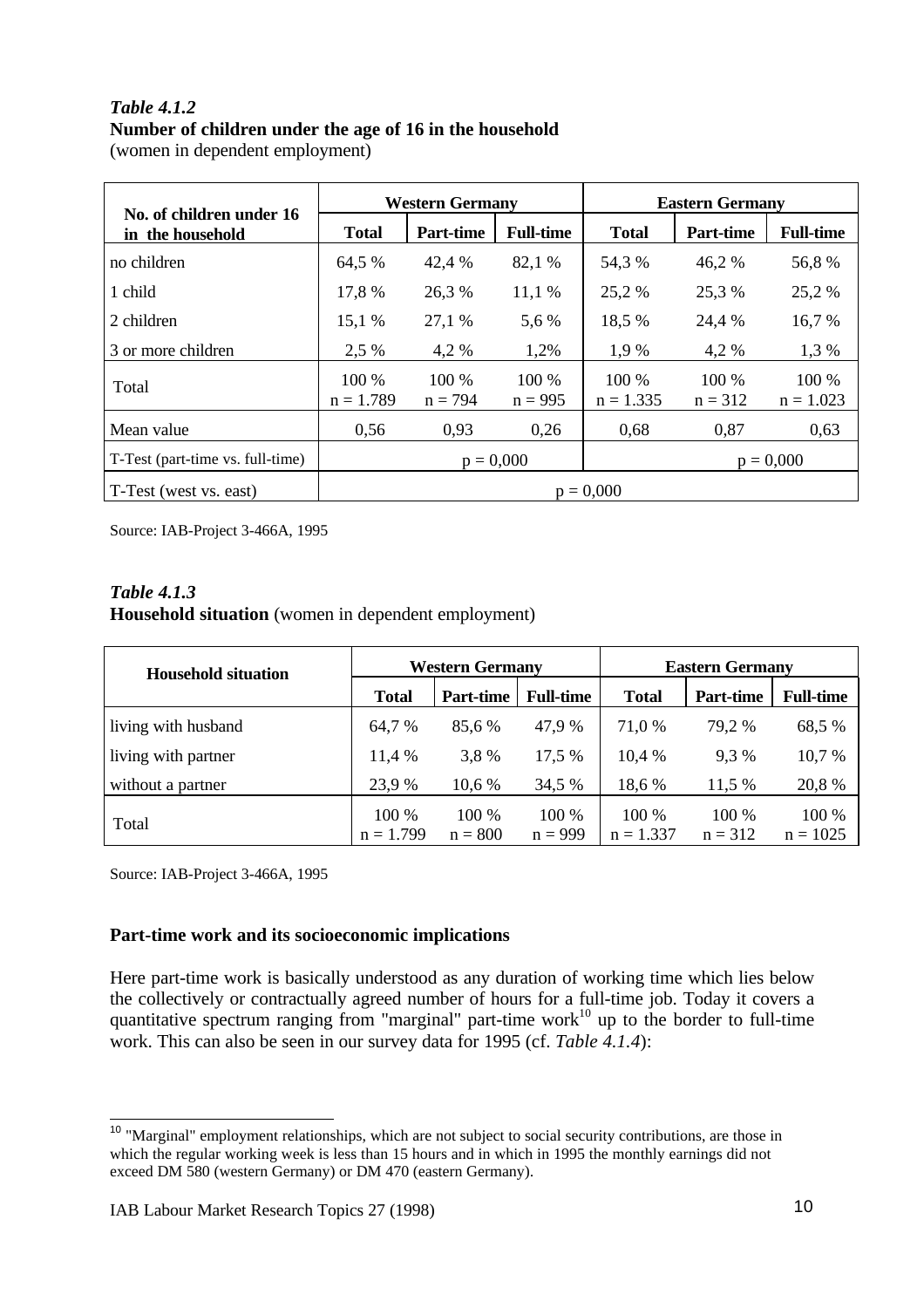## *Table 4.1.2* **Number of children under the age of 16 in the household** (women in dependent employment)

|                                              |                            | <b>Western Germany</b> |                    | <b>Eastern Germany</b> |                    |                      |  |
|----------------------------------------------|----------------------------|------------------------|--------------------|------------------------|--------------------|----------------------|--|
| No. of children under 16<br>in the household | <b>Total</b>               | <b>Part-time</b>       | <b>Full-time</b>   | <b>Total</b>           | <b>Part-time</b>   | <b>Full-time</b>     |  |
| no children                                  | 64,5 %                     | 42,4 %                 | 82,1 %             | 54,3 %                 | 46,2 %             | 56,8%                |  |
| 1 child                                      | 17,8 %                     | 26,3 %                 | 11,1%              | 25,2 %                 | 25,3 %             | 25,2 %               |  |
| 2 children                                   | 15,1 %                     | 27,1 %                 | 5,6 %              | 18,5 %                 | 24,4 %             | 16,7 %               |  |
| 3 or more children                           | 2,5 %                      | 4,2 %                  | 1,2%               | 1,9 %                  | 4,2 %              | 1,3 %                |  |
| Total                                        | 100 %<br>$n = 1.789$       | 100 %<br>$n = 794$     | 100 %<br>$n = 995$ | 100 %<br>$n = 1.335$   | 100 %<br>$n = 312$ | 100 %<br>$n = 1.023$ |  |
| Mean value                                   | 0,56                       | 0,93                   | 0,26               | 0,68                   | 0,87               | 0,63                 |  |
| T-Test (part-time vs. full-time)             | $p = 0,000$<br>$p = 0,000$ |                        |                    |                        |                    |                      |  |
| T-Test (west vs. east)                       |                            |                        |                    | $p = 0,000$            |                    |                      |  |

Source: IAB-Project 3-466A, 1995

### *Table 4.1.3* **Household situation** (women in dependent employment)

| <b>Household situation</b> |                      | <b>Western Germany</b> |                    | <b>Eastern Germany</b> |                      |                     |  |
|----------------------------|----------------------|------------------------|--------------------|------------------------|----------------------|---------------------|--|
|                            | <b>Total</b>         | <b>Part-time</b>       | <b>Full-time</b>   | <b>Total</b>           | <b>Part-time</b>     | <b>Full-time</b>    |  |
| living with husband        | 64,7 %               | 85,6 %                 | 47,9 %             | 71,0 %                 | 79,2 %               | 68,5 %              |  |
| living with partner        | 11,4 %               | 3.8 %                  | 17.5 %             | 10.4 %                 | 9,3%                 | 10,7 %              |  |
| without a partner          | 23,9 %               | 10,6 %                 | 34,5 %             | 18,6 %                 | 11,5 %               | 20,8%               |  |
| Total                      | 100 %<br>$n = 1.799$ | 100 %<br>$n = 800$     | 100 %<br>$n = 999$ | $100\%$<br>$n = 1.337$ | $100\%$<br>$n = 312$ | 100 %<br>$n = 1025$ |  |

Source: IAB-Project 3-466A, 1995

# **Part-time work and its socioeconomic implications**

Here part-time work is basically understood as any duration of working time which lies below the collectively or contractually agreed number of hours for a full-time job. Today it covers a quantitative spectrum ranging from "marginal" part-time work $^{10}$  up to the border to full-time work. This can also be seen in our survey data for 1995 (cf. *Table 4.1.4*):

 $\overline{\phantom{a}}$ <sup>10</sup> "Marginal" employment relationships, which are not subject to social security contributions, are those in which the regular working week is less than 15 hours and in which in 1995 the monthly earnings did not exceed DM 580 (western Germany) or DM 470 (eastern Germany).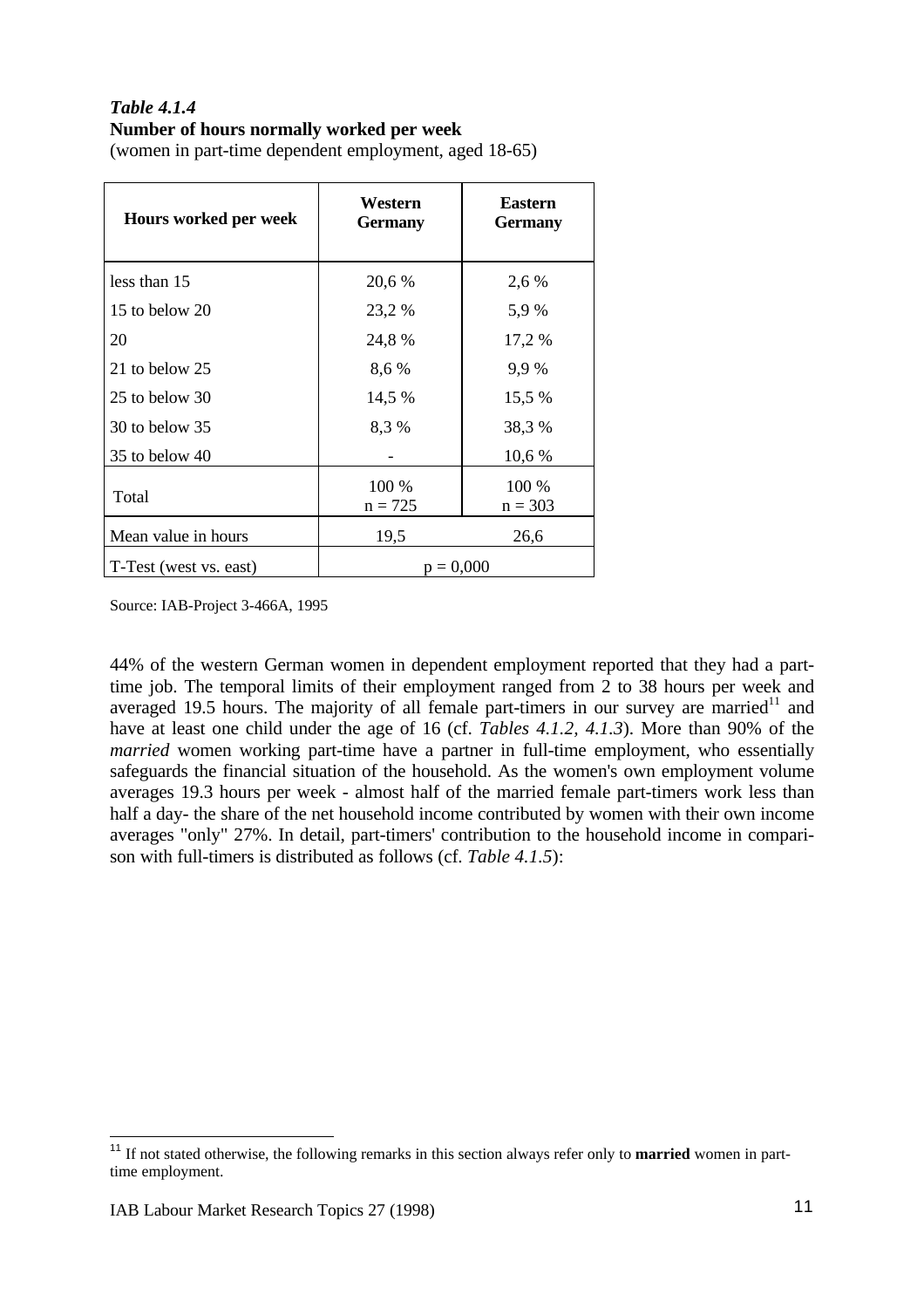#### *Table 4.1.4* **Number of hours normally worked per week**

(women in part-time dependent employment, aged 18-65)

| Hours worked per week  | Western<br><b>Germany</b> | <b>Eastern</b><br><b>Germany</b> |
|------------------------|---------------------------|----------------------------------|
| less than 15           | 20,6 %                    | 2,6 %                            |
| 15 to below 20         | 23,2 %                    | 5,9 %                            |
| 20                     | 24,8 %                    | 17,2 %                           |
| 21 to below 25         | 8,6 %                     | 9,9%                             |
| 25 to below 30         | 14,5 %                    | 15,5 %                           |
| $30$ to below $35$     | 8,3%                      | 38,3 %                           |
| $35$ to below $40$     |                           | 10,6 %                           |
| Total                  | 100 %<br>$n = 725$        | 100 %<br>$n = 303$               |
| Mean value in hours    | 19,5                      | 26,6                             |
| T-Test (west vs. east) | $p = 0,000$               |                                  |

Source: IAB-Project 3-466A, 1995

44% of the western German women in dependent employment reported that they had a parttime job. The temporal limits of their employment ranged from 2 to 38 hours per week and averaged 19.5 hours. The majority of all female part-timers in our survey are married $11$  and have at least one child under the age of 16 (cf. *Tables 4.1.2, 4.1.3*). More than 90% of the *married* women working part-time have a partner in full-time employment, who essentially safeguards the financial situation of the household. As the women's own employment volume averages 19.3 hours per week - almost half of the married female part-timers work less than half a day- the share of the net household income contributed by women with their own income averages "only" 27%. In detail, part-timers' contribution to the household income in comparison with full-timers is distributed as follows (cf. *Table 4.1.5*):

 <sup>11</sup> If not stated otherwise, the following remarks in this section always refer only to **married** women in parttime employment.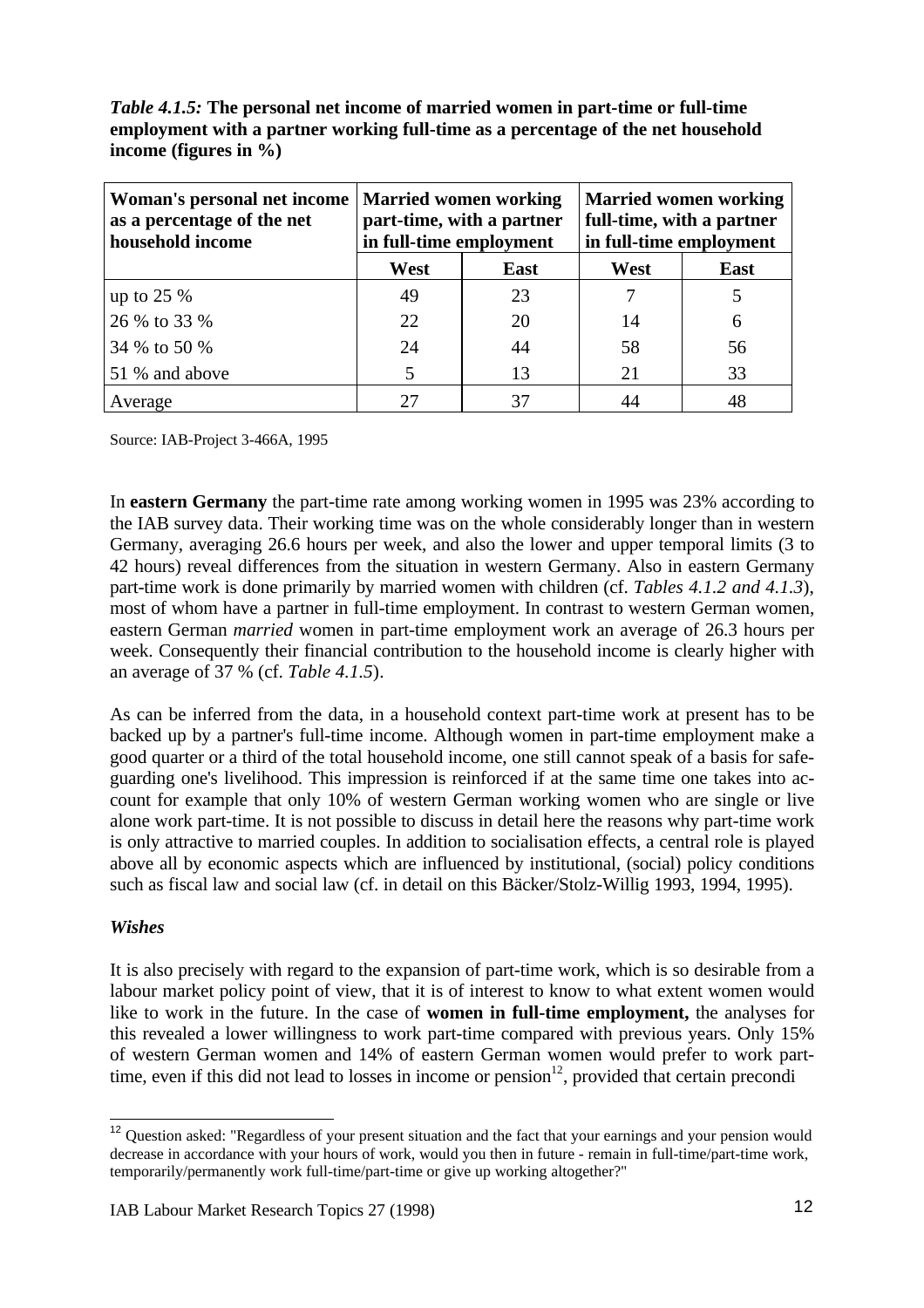*Table 4.1.5:* **The personal net income of married women in part-time or full-time employment with a partner working full-time as a percentage of the net household income (figures in %)**

| Woman's personal net income<br>as a percentage of the net<br>household income | in full-time employment | <b>Married women working</b><br>part-time, with a partner | full-time, with a partner<br>in full-time employment | <b>Married women working</b> |
|-------------------------------------------------------------------------------|-------------------------|-----------------------------------------------------------|------------------------------------------------------|------------------------------|
|                                                                               | West                    | <b>East</b>                                               | West                                                 | East                         |
| up to $25%$                                                                   | 49                      | 23                                                        |                                                      |                              |
| 26 % to 33 %                                                                  | 22                      | 20                                                        | 14                                                   | 6                            |
| 34 % to 50 %                                                                  | 24                      | 44                                                        | 58                                                   | 56                           |
| 51 % and above                                                                |                         | 13                                                        | 21                                                   | 33                           |
| Average                                                                       |                         |                                                           |                                                      | 48                           |

Source: IAB-Project 3-466A, 1995

In **eastern Germany** the part-time rate among working women in 1995 was 23% according to the IAB survey data. Their working time was on the whole considerably longer than in western Germany, averaging 26.6 hours per week, and also the lower and upper temporal limits (3 to 42 hours) reveal differences from the situation in western Germany. Also in eastern Germany part-time work is done primarily by married women with children (cf. *Tables 4.1.2 and 4.1.3*), most of whom have a partner in full-time employment. In contrast to western German women, eastern German *married* women in part-time employment work an average of 26.3 hours per week. Consequently their financial contribution to the household income is clearly higher with an average of 37 % (cf. *Table 4.1.5*).

As can be inferred from the data, in a household context part-time work at present has to be backed up by a partner's full-time income. Although women in part-time employment make a good quarter or a third of the total household income, one still cannot speak of a basis for safeguarding one's livelihood. This impression is reinforced if at the same time one takes into account for example that only 10% of western German working women who are single or live alone work part-time. It is not possible to discuss in detail here the reasons why part-time work is only attractive to married couples. In addition to socialisation effects, a central role is played above all by economic aspects which are influenced by institutional, (social) policy conditions such as fiscal law and social law (cf. in detail on this Bäcker/Stolz-Willig 1993, 1994, 1995).

# *Wishes*

It is also precisely with regard to the expansion of part-time work, which is so desirable from a labour market policy point of view, that it is of interest to know to what extent women would like to work in the future. In the case of **women in full-time employment,** the analyses for this revealed a lower willingness to work part-time compared with previous years. Only 15% of western German women and 14% of eastern German women would prefer to work parttime, even if this did not lead to losses in income or pension $12$ , provided that certain precondi

 $\overline{\phantom{a}}$  $12$  Question asked: "Regardless of your present situation and the fact that your earnings and your pension would decrease in accordance with your hours of work, would you then in future - remain in full-time/part-time work, temporarily/permanently work full-time/part-time or give up working altogether?"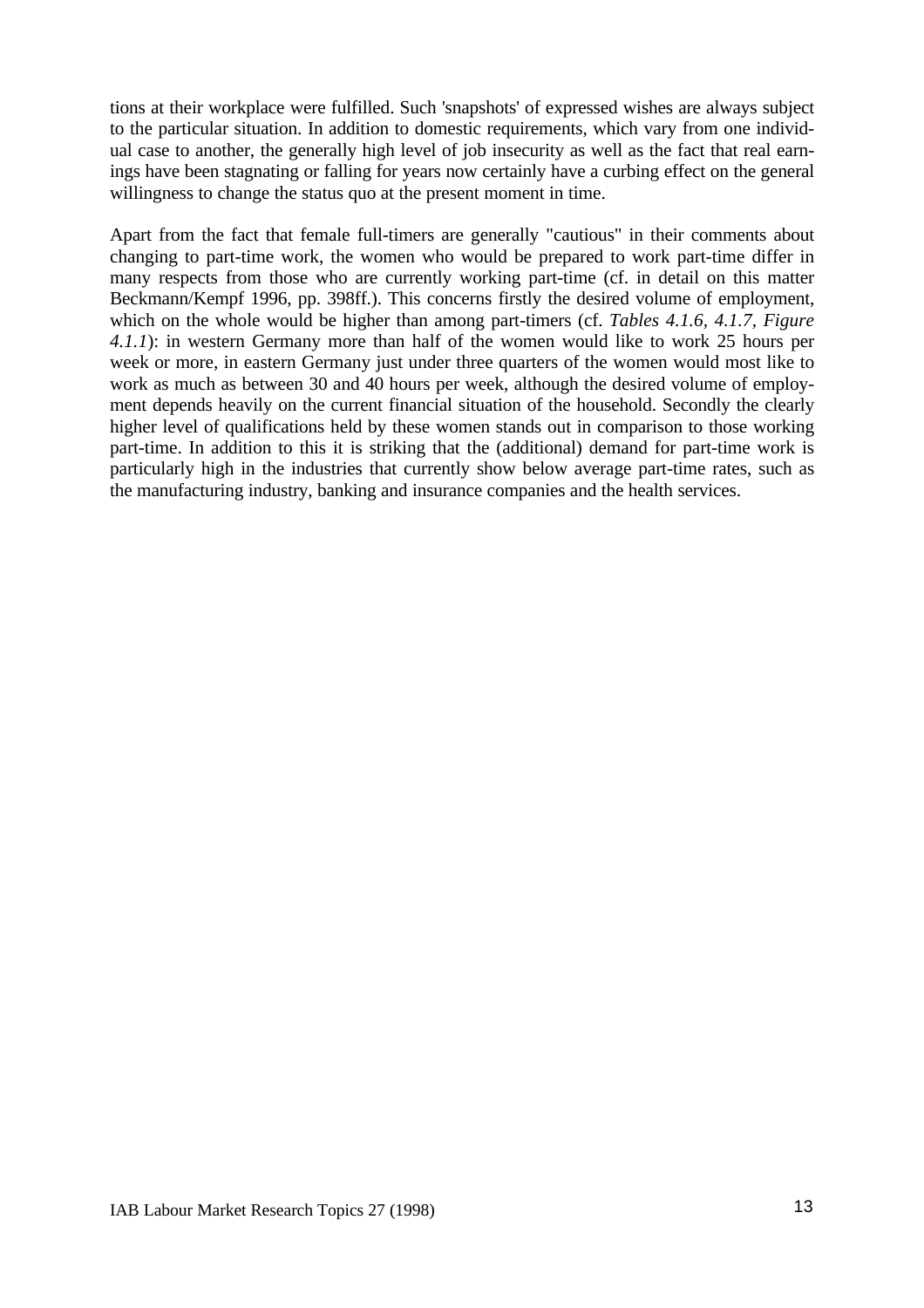tions at their workplace were fulfilled. Such 'snapshots' of expressed wishes are always subject to the particular situation. In addition to domestic requirements, which vary from one individual case to another, the generally high level of job insecurity as well as the fact that real earnings have been stagnating or falling for years now certainly have a curbing effect on the general willingness to change the status quo at the present moment in time.

Apart from the fact that female full-timers are generally "cautious" in their comments about changing to part-time work, the women who would be prepared to work part-time differ in many respects from those who are currently working part-time (cf. in detail on this matter Beckmann/Kempf 1996, pp. 398ff.). This concerns firstly the desired volume of employment, which on the whole would be higher than among part-timers (cf. *Tables 4.1.6, 4.1.7, Figure 4.1.1*): in western Germany more than half of the women would like to work 25 hours per week or more, in eastern Germany just under three quarters of the women would most like to work as much as between 30 and 40 hours per week, although the desired volume of employment depends heavily on the current financial situation of the household. Secondly the clearly higher level of qualifications held by these women stands out in comparison to those working part-time. In addition to this it is striking that the (additional) demand for part-time work is particularly high in the industries that currently show below average part-time rates, such as the manufacturing industry, banking and insurance companies and the health services.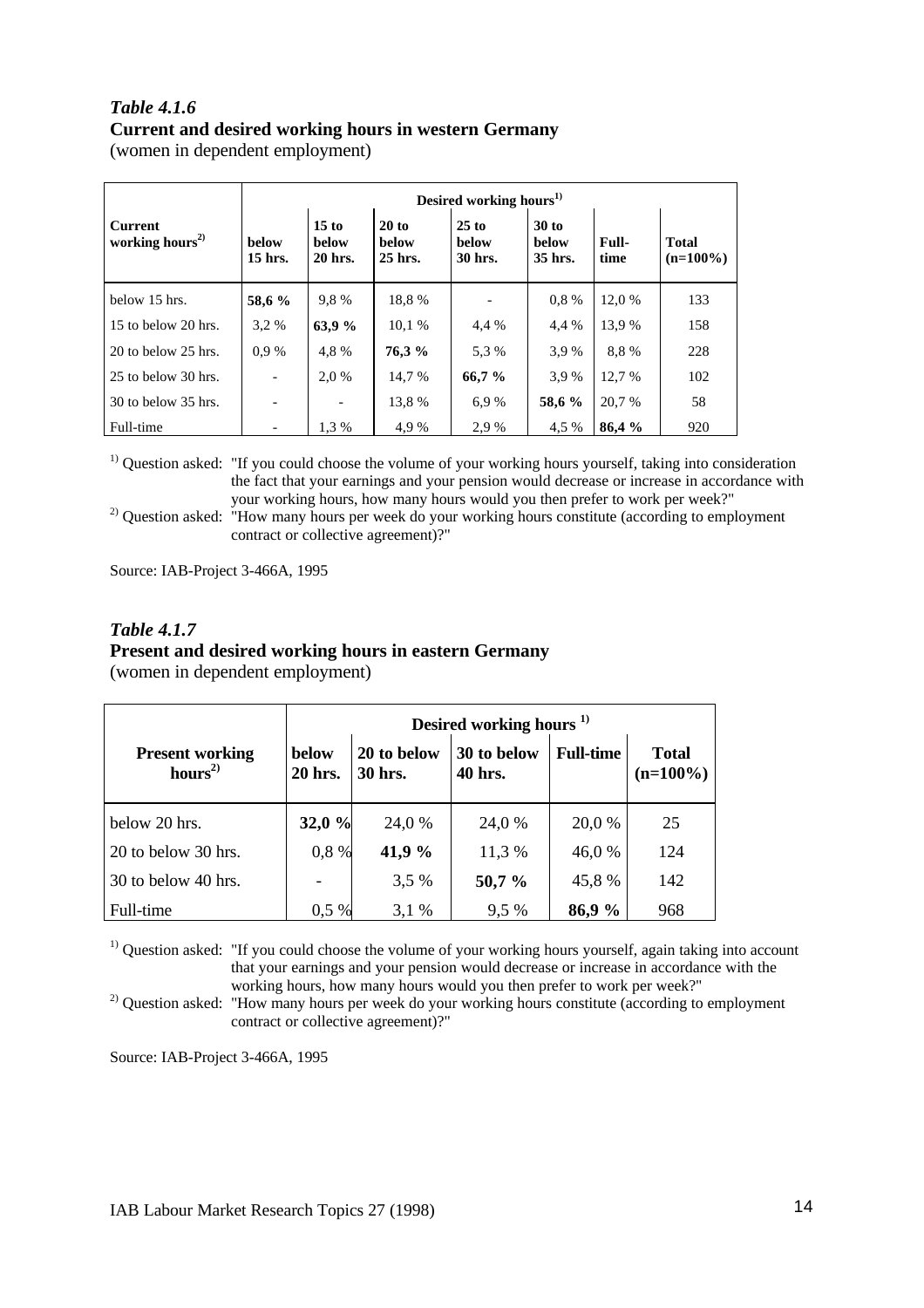## *Table 4.1.6* **Current and desired working hours in western Germany** (women in dependent employment)

|                                               |                          | Desired working hours <sup>1)</sup> |                                  |                                    |                                    |                      |                             |  |  |  |
|-----------------------------------------------|--------------------------|-------------------------------------|----------------------------------|------------------------------------|------------------------------------|----------------------|-----------------------------|--|--|--|
| <b>Current</b><br>working hours <sup>2)</sup> | <b>below</b><br>15 hrs.  | 15 to<br><b>below</b><br>20 hrs.    | 20 to<br><b>below</b><br>25 hrs. | $25$ to<br><b>below</b><br>30 hrs. | $30$ to<br><b>below</b><br>35 hrs. | <b>Full-</b><br>time | <b>Total</b><br>$(n=100\%)$ |  |  |  |
| below 15 hrs.                                 | 58,6 %                   | 9.8%                                | 18.8%                            |                                    | 0.8%                               | 12,0 %               | 133                         |  |  |  |
| 15 to below 20 hrs.                           | 3.2 %                    | 63,9 %                              | 10.1 %                           | 4,4 %                              | 4,4 %                              | 13.9 %               | 158                         |  |  |  |
| 20 to below 25 hrs.                           | 0.9%                     | 4,8%                                | 76,3 %                           | 5.3 %                              | 3.9%                               | 8.8%                 | 228                         |  |  |  |
| 25 to below 30 hrs.                           | $\overline{\phantom{a}}$ | 2,0 %                               | 14.7 %                           | 66,7 %                             | 3.9%                               | 12,7 %               | 102                         |  |  |  |
| 30 to below 35 hrs.                           |                          |                                     | 13.8 %                           | 6.9%                               | 58,6 %                             | 20,7 %               | 58                          |  |  |  |
| Full-time                                     |                          | 1.3 %                               | 4.9%                             | 2.9 %                              | 4,5 %                              | 86.4%                | 920                         |  |  |  |

<sup>1)</sup> Question asked: "If you could choose the volume of your working hours yourself, taking into consideration the fact that your earnings and your pension would decrease or increase in accordance with

your working hours, how many hours would you then prefer to work per week?" <sup>2)</sup> Question asked: "How many hours per week do your working hours constitute (according to employment contract or collective agreement)?"

Source: IAB-Project 3-466A, 1995

### *Table 4.1.7* **Present and desired working hours in eastern Germany** (women in dependent employment)

|                                               | Desired working hours <sup>1)</sup> |                        |                        |                  |                             |  |  |  |  |  |
|-----------------------------------------------|-------------------------------------|------------------------|------------------------|------------------|-----------------------------|--|--|--|--|--|
| <b>Present working</b><br>hours <sup>2)</sup> | <b>below</b><br>20 hrs.             | 20 to below<br>30 hrs. | 30 to below<br>40 hrs. | <b>Full-time</b> | <b>Total</b><br>$(n=100\%)$ |  |  |  |  |  |
| below 20 hrs.                                 | 32,0%                               | 24,0 %                 | 24,0 %                 | 20,0 %           | 25                          |  |  |  |  |  |
| 20 to below 30 hrs.                           | 0,8 %                               | 41,9 %                 | 11,3 %                 | 46,0%            | 124                         |  |  |  |  |  |
| 30 to below 40 hrs.                           |                                     | 3,5 %                  | 50,7 %                 | 45,8%            | 142                         |  |  |  |  |  |
| Full-time                                     | $0.5\%$                             | 3,1%                   | 9,5 %                  | 86,9 %           | 968                         |  |  |  |  |  |

<sup>1)</sup> Question asked: "If you could choose the volume of your working hours yourself, again taking into account that your earnings and your pension would decrease or increase in accordance with the working hours, how many hours would you then prefer to work per week?"

<sup>2)</sup> Question asked: "How many hours per week do your working hours constitute (according to employment contract or collective agreement)?"

Source: IAB-Project 3-466A, 1995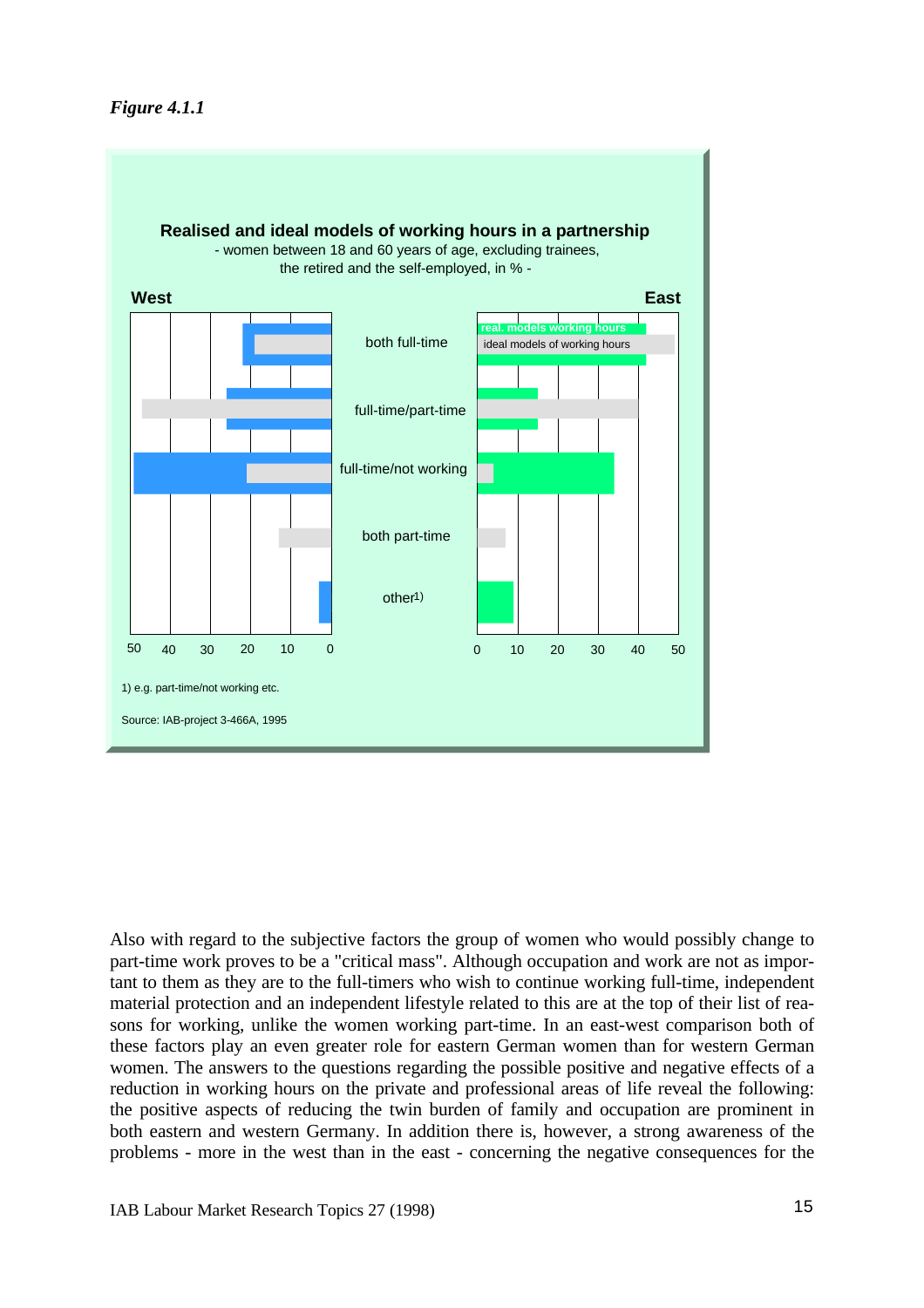

Also with regard to the subjective factors the group of women who would possibly change to part-time work proves to be a "critical mass". Although occupation and work are not as important to them as they are to the full-timers who wish to continue working full-time, independent material protection and an independent lifestyle related to this are at the top of their list of reasons for working, unlike the women working part-time. In an east-west comparison both of these factors play an even greater role for eastern German women than for western German women. The answers to the questions regarding the possible positive and negative effects of a reduction in working hours on the private and professional areas of life reveal the following: the positive aspects of reducing the twin burden of family and occupation are prominent in both eastern and western Germany. In addition there is, however, a strong awareness of the problems - more in the west than in the east - concerning the negative consequences for the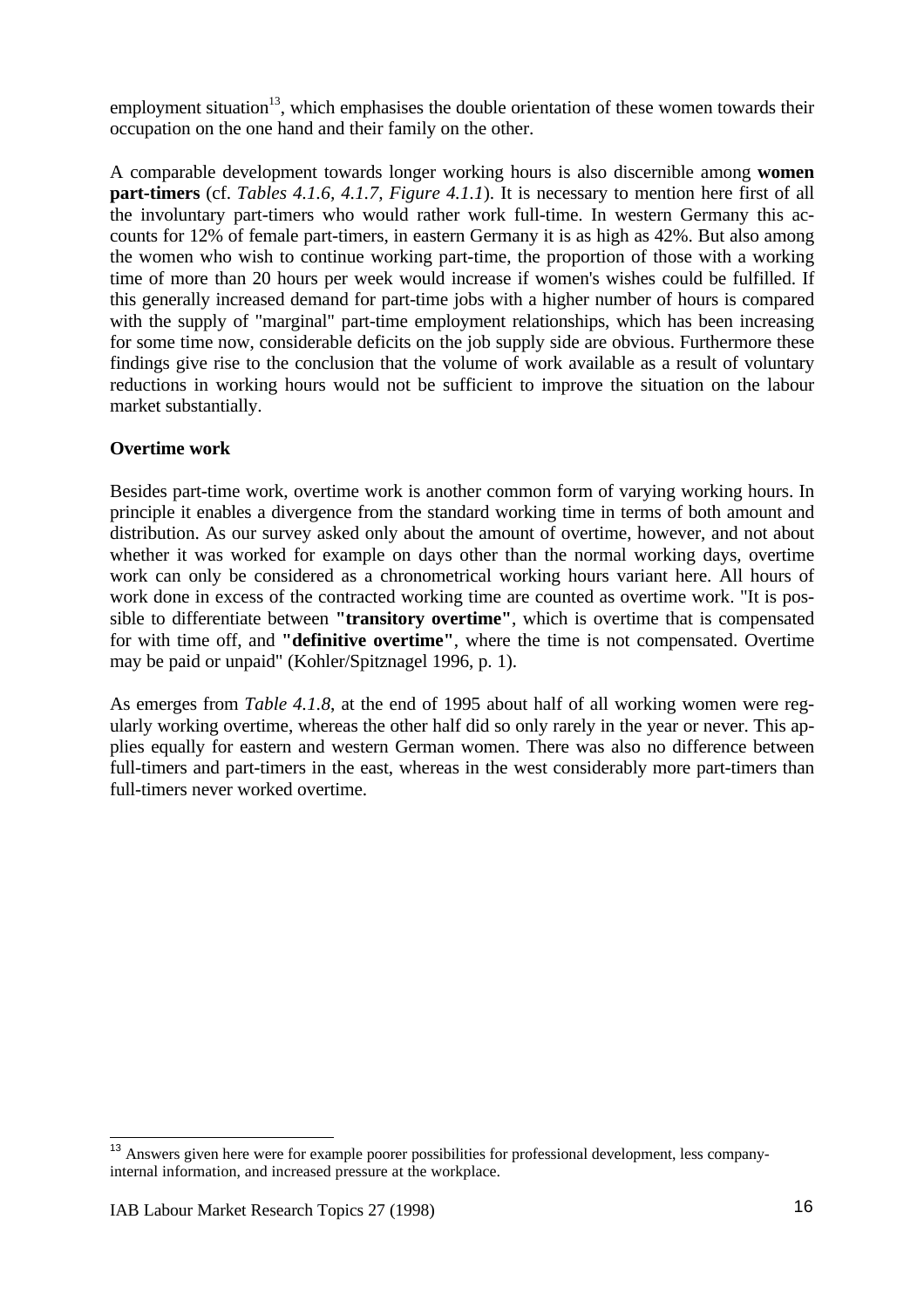employment situation<sup>13</sup>, which emphasises the double orientation of these women towards their occupation on the one hand and their family on the other.

A comparable development towards longer working hours is also discernible among **women part-timers** (cf. *Tables 4.1.6, 4.1.7, Figure 4.1.1*). It is necessary to mention here first of all the involuntary part-timers who would rather work full-time. In western Germany this accounts for 12% of female part-timers, in eastern Germany it is as high as 42%. But also among the women who wish to continue working part-time, the proportion of those with a working time of more than 20 hours per week would increase if women's wishes could be fulfilled. If this generally increased demand for part-time jobs with a higher number of hours is compared with the supply of "marginal" part-time employment relationships, which has been increasing for some time now, considerable deficits on the job supply side are obvious. Furthermore these findings give rise to the conclusion that the volume of work available as a result of voluntary reductions in working hours would not be sufficient to improve the situation on the labour market substantially.

# **Overtime work**

Besides part-time work, overtime work is another common form of varying working hours. In principle it enables a divergence from the standard working time in terms of both amount and distribution. As our survey asked only about the amount of overtime, however, and not about whether it was worked for example on days other than the normal working days, overtime work can only be considered as a chronometrical working hours variant here. All hours of work done in excess of the contracted working time are counted as overtime work. "It is possible to differentiate between **"transitory overtime"**, which is overtime that is compensated for with time off, and **"definitive overtime"**, where the time is not compensated. Overtime may be paid or unpaid" (Kohler/Spitznagel 1996, p. 1).

As emerges from *Table 4.1.8*, at the end of 1995 about half of all working women were regularly working overtime, whereas the other half did so only rarely in the year or never. This applies equally for eastern and western German women. There was also no difference between full-timers and part-timers in the east, whereas in the west considerably more part-timers than full-timers never worked overtime.

 $\overline{\phantom{a}}$ <sup>13</sup> Answers given here were for example poorer possibilities for professional development, less companyinternal information, and increased pressure at the workplace.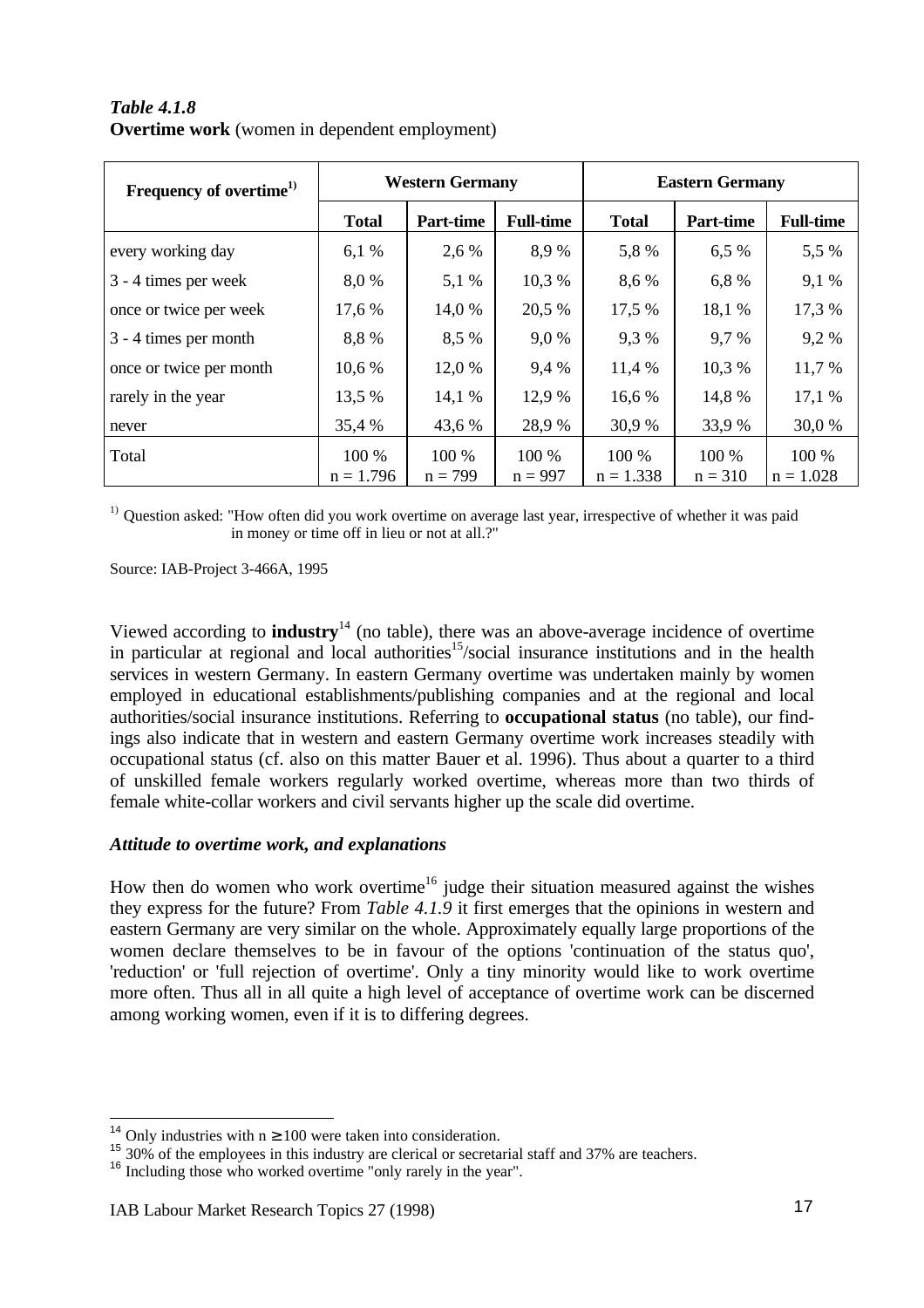| Frequency of overtime <sup>1)</sup> |              | <b>Western Germany</b> |                  | <b>Eastern Germany</b> |                  |                  |  |
|-------------------------------------|--------------|------------------------|------------------|------------------------|------------------|------------------|--|
|                                     | <b>Total</b> | Part-time              | <b>Full-time</b> | <b>Total</b>           | <b>Part-time</b> | <b>Full-time</b> |  |
| every working day                   | 6,1%         | 2,6 %                  | 8,9%             | 5,8%                   | 6,5 %            | 5,5 %            |  |
| 3 - 4 times per week                | 8,0%         | 5,1 %                  | 10,3 %           | 8,6 %                  | 6,8 %            | 9,1 %            |  |
| once or twice per week              | 17,6 %       | 14,0 %                 | 20,5 %           | 17,5 %                 | 18,1 %           | 17,3 %           |  |
| 3 - 4 times per month               | 8,8%         | 8,5 %                  | 9,0%             | 9,3%                   | 9,7%             | 9,2%             |  |
| once or twice per month             | 10,6 %       | 12,0 %                 | 9,4 %            | 11,4 %                 | 10,3 %           | 11,7 %           |  |
| rarely in the year                  | 13,5 %       | 14,1 %                 | 12,9 %           | 16,6 %                 | 14,8 %           | 17,1%            |  |
| never                               | 35,4 %       | 43,6 %                 | 28,9%            | 30,9 %                 | 33,9 %           | 30,0 %           |  |
| Total                               | 100 %        | 100 %                  | 100 %            | 100 %                  | 100 %            | 100 %            |  |
|                                     | $n = 1.796$  | $n = 799$              | $n = 997$        | $n = 1.338$            | $n = 310$        | $n = 1.028$      |  |

*Table 4.1.8* **Overtime work** (women in dependent employment)

<sup>1)</sup> Question asked: "How often did you work overtime on average last year, irrespective of whether it was paid in money or time off in lieu or not at all.?"

Source: IAB-Project 3-466A, 1995

Viewed according to **industry**<sup>14</sup> (no table), there was an above-average incidence of overtime in particular at regional and local authorities<sup>15</sup>/social insurance institutions and in the health services in western Germany. In eastern Germany overtime was undertaken mainly by women employed in educational establishments/publishing companies and at the regional and local authorities/social insurance institutions. Referring to **occupational status** (no table), our findings also indicate that in western and eastern Germany overtime work increases steadily with occupational status (cf. also on this matter Bauer et al. 1996). Thus about a quarter to a third of unskilled female workers regularly worked overtime, whereas more than two thirds of female white-collar workers and civil servants higher up the scale did overtime.

### *Attitude to overtime work, and explanations*

How then do women who work overtime<sup>16</sup> judge their situation measured against the wishes they express for the future? From *Table 4.1.9* it first emerges that the opinions in western and eastern Germany are very similar on the whole. Approximately equally large proportions of the women declare themselves to be in favour of the options 'continuation of the status quo', 'reduction' or 'full rejection of overtime'. Only a tiny minority would like to work overtime more often. Thus all in all quite a high level of acceptance of overtime work can be discerned among working women, even if it is to differing degrees.

 $\overline{a}$ 

<sup>&</sup>lt;sup>14</sup> Only industries with  $n \ge 100$  were taken into consideration.

<sup>&</sup>lt;sup>15</sup> 30% of the employees in this industry are clerical or secretarial staff and 37% are teachers.

<sup>&</sup>lt;sup>16</sup> Including those who worked overtime "only rarely in the year".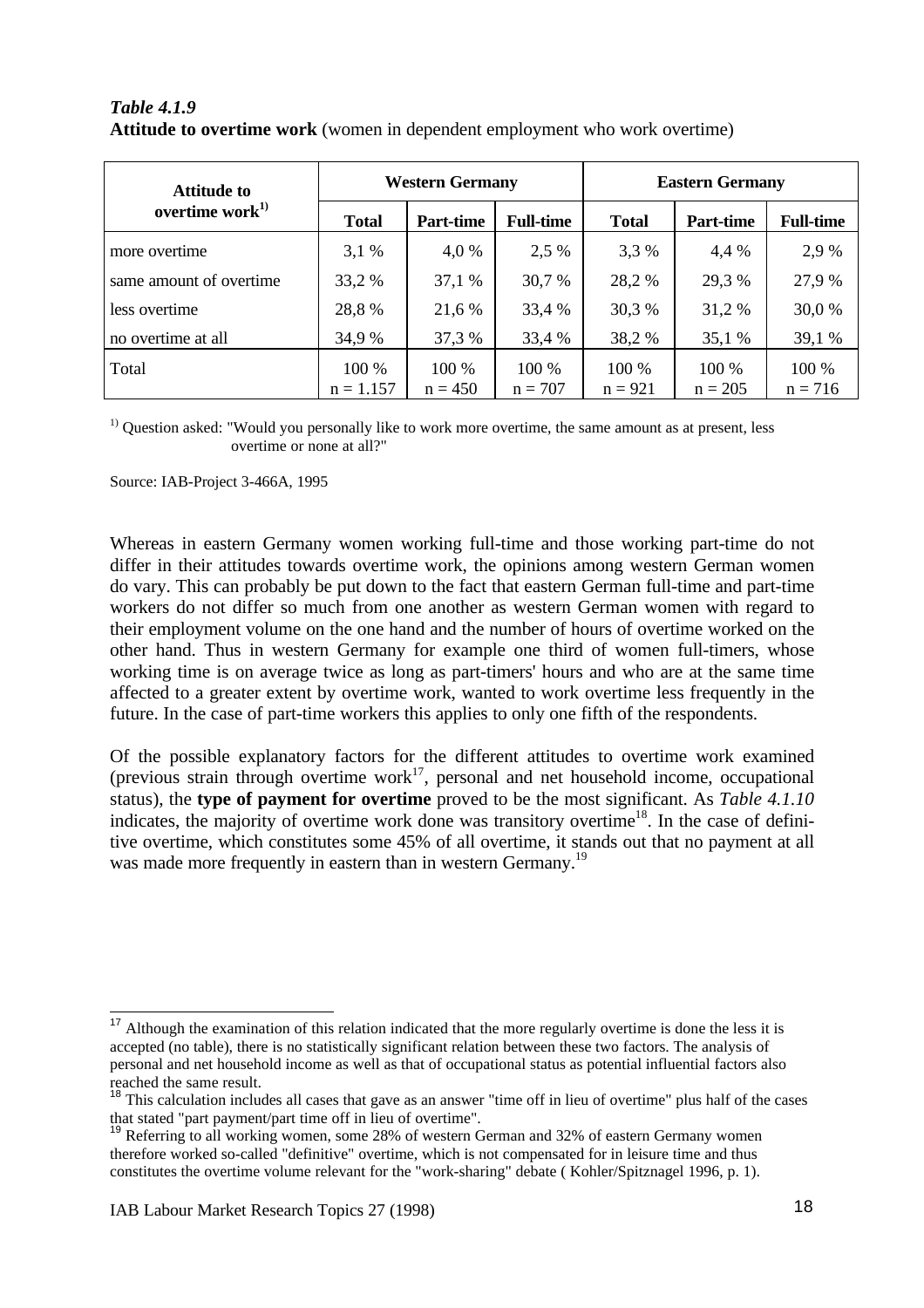| <b>Attitude to</b>      |              | <b>Western Germany</b> |                  | <b>Eastern Germany</b> |                  |                  |  |
|-------------------------|--------------|------------------------|------------------|------------------------|------------------|------------------|--|
| overtime work $^{1)}$   | <b>Total</b> | <b>Part-time</b>       | <b>Full-time</b> | <b>Total</b>           | <b>Part-time</b> | <b>Full-time</b> |  |
| more overtime           | 3,1%         | 4,0 %                  | 2,5 %            | 3,3 %                  | 4,4 %            | 2,9 %            |  |
| same amount of overtime | 33,2 %       | 37,1 %                 | 30,7 %           | 28,2 %                 | 29,3 %           | 27,9 %           |  |
| less overtime           | 28,8%        | 21,6 %                 | 33,4 %           | 30,3 %                 | 31,2 %           | 30,0 %           |  |
| no overtime at all      | 34,9 %       | 37,3 %                 | 33,4 %           | 38,2 %                 | 35,1 %           | 39,1 %           |  |
| Total                   | 100 %        | 100 %                  | 100 %            | 100 %                  | 100 %            | 100 %            |  |
|                         | $n = 1.157$  | $n = 450$              | $n = 707$        | $n = 921$              | $n = 205$        | $n = 716$        |  |

### *Table 4.1.9* **Attitude to overtime work** (women in dependent employment who work overtime)

 $<sup>1)</sup>$  Question asked: "Would you personally like to work more overtime, the same amount as at present, less</sup> overtime or none at all?"

Source: IAB-Project 3-466A, 1995

Whereas in eastern Germany women working full-time and those working part-time do not differ in their attitudes towards overtime work, the opinions among western German women do vary. This can probably be put down to the fact that eastern German full-time and part-time workers do not differ so much from one another as western German women with regard to their employment volume on the one hand and the number of hours of overtime worked on the other hand. Thus in western Germany for example one third of women full-timers, whose working time is on average twice as long as part-timers' hours and who are at the same time affected to a greater extent by overtime work, wanted to work overtime less frequently in the future. In the case of part-time workers this applies to only one fifth of the respondents.

Of the possible explanatory factors for the different attitudes to overtime work examined (previous strain through overtime work<sup>17</sup>, personal and net household income, occupational status), the **type of payment for overtime** proved to be the most significant. As *Table 4.1.10* indicates, the majority of overtime work done was transitory overtime<sup>18</sup>. In the case of definitive overtime, which constitutes some 45% of all overtime, it stands out that no payment at all was made more frequently in eastern than in western Germany.<sup>19</sup>

 $\overline{a}$ 

 $17$  Although the examination of this relation indicated that the more regularly overtime is done the less it is accepted (no table), there is no statistically significant relation between these two factors. The analysis of personal and net household income as well as that of occupational status as potential influential factors also reached the same result.

<sup>&</sup>lt;sup>18</sup> This calculation includes all cases that gave as an answer "time off in lieu of overtime" plus half of the cases that stated "part payment/part time off in lieu of overtime".

<sup>19</sup> Referring to all working women, some 28% of western German and 32% of eastern Germany women therefore worked so-called "definitive" overtime, which is not compensated for in leisure time and thus constitutes the overtime volume relevant for the "work-sharing" debate ( Kohler/Spitznagel 1996, p. 1).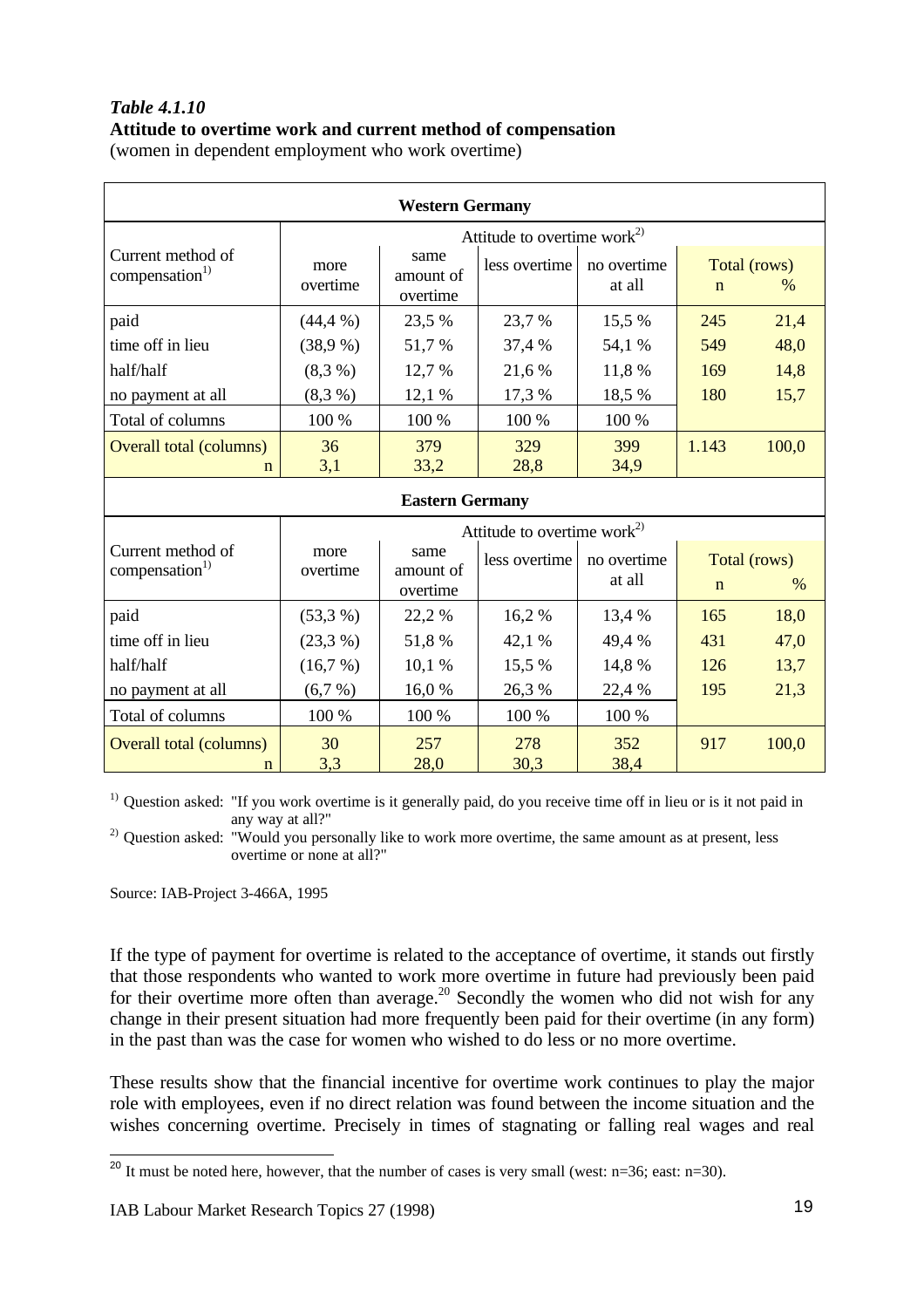# *Table 4.1.10* **Attitude to overtime work and current method of compensation**

(women in dependent employment who work overtime)

| <b>Western Germany</b>                          |                  |                               |                                         |                       |             |                               |  |  |  |
|-------------------------------------------------|------------------|-------------------------------|-----------------------------------------|-----------------------|-------------|-------------------------------|--|--|--|
|                                                 |                  |                               | Attitude to overtime work <sup>2)</sup> |                       |             |                               |  |  |  |
| Current method of<br>compensation <sup>1)</sup> | more<br>overtime | same<br>amount of<br>overtime | less overtime                           | no overtime<br>at all | $\mathbf n$ | Total (rows)<br>$\frac{0}{0}$ |  |  |  |
| paid                                            | $(44, 4\%)$      | 23,5 %                        | 23,7 %                                  | 15,5 %                | 245         | 21,4                          |  |  |  |
| time off in lieu                                | (38,9%)          | 51,7 %                        | 37,4 %                                  | 54,1 %                | 549         | 48,0                          |  |  |  |
| half/half                                       | (8,3,9)          | 12,7 %                        | 21,6 %                                  | 11,8 %                | 169         | 14,8                          |  |  |  |
| no payment at all                               | (8,3%)           | 12,1 %                        | 17,3 %                                  | 18,5 %                | 180         | 15,7                          |  |  |  |
| Total of columns                                | 100 %            | 100 %                         | 100 %                                   | 100 %                 |             |                               |  |  |  |
| <b>Overall total (columns)</b><br>n             | 36<br>3,1        | 379<br>33,2                   | 329<br>28,8                             | 399<br>34,9           | 1.143       | 100,0                         |  |  |  |
|                                                 |                  | <b>Eastern Germany</b>        |                                         |                       |             |                               |  |  |  |
|                                                 |                  |                               | Attitude to overtime work <sup>2)</sup> |                       |             |                               |  |  |  |
| Current method of<br>compensation <sup>1)</sup> | more<br>overtime | same<br>amount of<br>overtime | less overtime                           | no overtime<br>at all | $\mathbf n$ | Total (rows)<br>$\%$          |  |  |  |
| paid                                            | (53,3%)          | 22,2 %                        | 16,2%                                   | 13,4 %                | 165         | 18,0                          |  |  |  |
| time off in lieu                                | (23,3%)          | 51,8%                         | 42,1 %                                  | 49,4 %                | 431         | 47,0                          |  |  |  |
| half/half                                       | (16,7%)          | 10,1 %                        | 15,5 %                                  | 14,8 %                | 126         | 13,7                          |  |  |  |
| no payment at all                               | (6,7%)           | 16,0%                         | 26,3 %                                  | 22,4 %                | 195         | 21,3                          |  |  |  |
| Total of columns                                | 100 %            | 100 %                         | 100 %                                   | 100 %                 |             |                               |  |  |  |
| <b>Overall total (columns)</b><br>$\mathbf n$   | 30<br>3,3        | 257<br>28,0                   | 278<br>30,3                             | 352<br>38,4           | 917         | 100,0                         |  |  |  |

<sup>1)</sup> Question asked: "If you work overtime is it generally paid, do you receive time off in lieu or is it not paid in any way at all?"

<sup>2)</sup> Question asked: "Would you personally like to work more overtime, the same amount as at present, less overtime or none at all?"

Source: IAB-Project 3-466A, 1995

If the type of payment for overtime is related to the acceptance of overtime, it stands out firstly that those respondents who wanted to work more overtime in future had previously been paid for their overtime more often than average.<sup>20</sup> Secondly the women who did not wish for any change in their present situation had more frequently been paid for their overtime (in any form) in the past than was the case for women who wished to do less or no more overtime.

These results show that the financial incentive for overtime work continues to play the major role with employees, even if no direct relation was found between the income situation and the wishes concerning overtime. Precisely in times of stagnating or falling real wages and real

j <sup>20</sup> It must be noted here, however, that the number of cases is very small (west:  $n=36$ ; east:  $n=30$ ).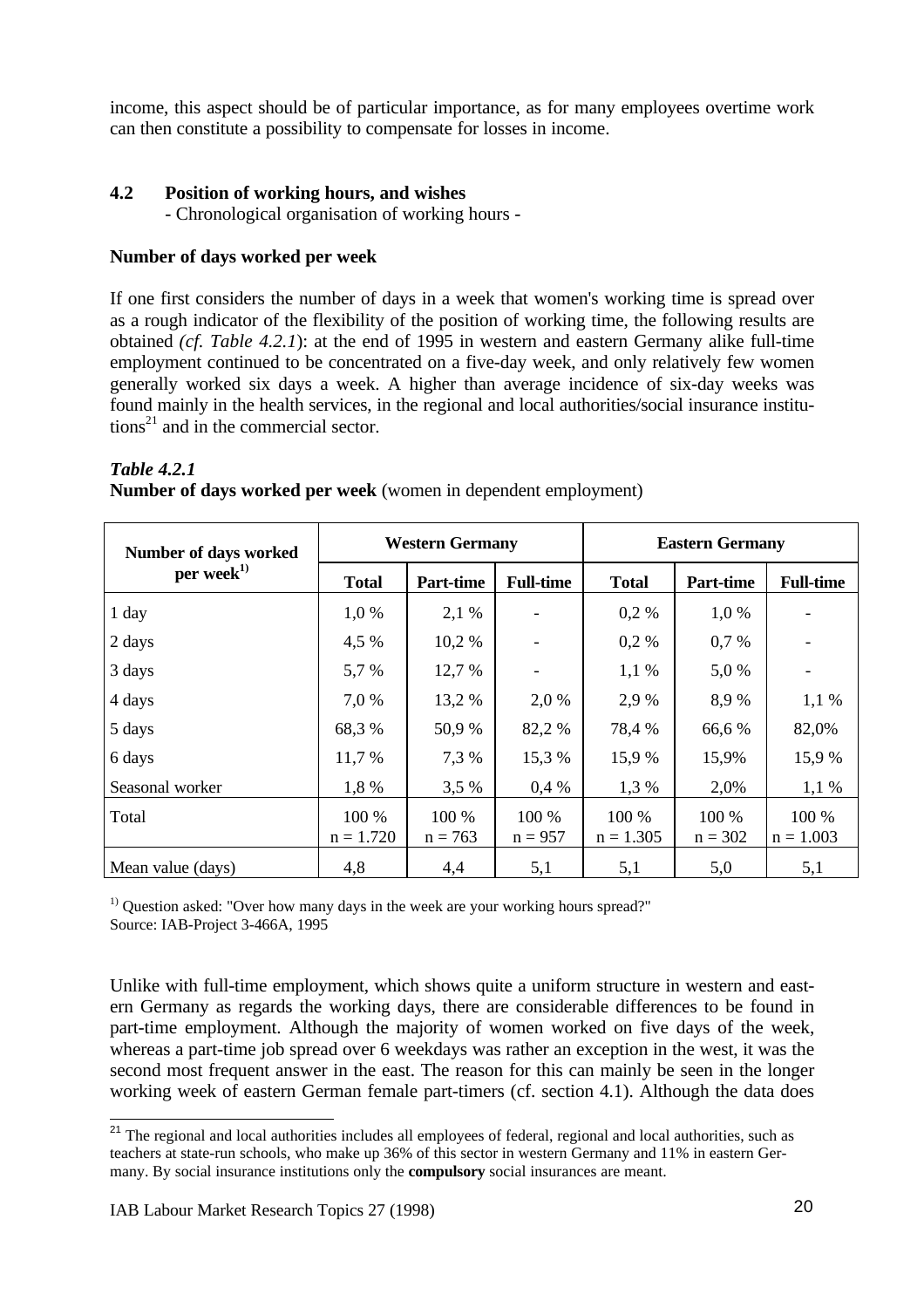income, this aspect should be of particular importance, as for many employees overtime work can then constitute a possibility to compensate for losses in income.

## **4.2 Position of working hours, and wishes**

- Chronological organisation of working hours -

### **Number of days worked per week**

If one first considers the number of days in a week that women's working time is spread over as a rough indicator of the flexibility of the position of working time, the following results are obtained *(cf. Table 4.2.1*): at the end of 1995 in western and eastern Germany alike full-time employment continued to be concentrated on a five-day week, and only relatively few women generally worked six days a week. A higher than average incidence of six-day weeks was found mainly in the health services, in the regional and local authorities/social insurance institutions<sup>21</sup> and in the commercial sector.

### *Table 4.2.1*

 $\overline{1}$ 

**Number of days worked per week** (women in dependent employment)

| Number of days worked | <b>Western Germany</b> |                    |                    | <b>Eastern Germany</b> |                    |                      |  |
|-----------------------|------------------------|--------------------|--------------------|------------------------|--------------------|----------------------|--|
| per week $^{1)}$      | <b>Total</b>           | <b>Part-time</b>   | <b>Full-time</b>   | <b>Total</b>           | <b>Part-time</b>   | <b>Full-time</b>     |  |
| 1 day                 | 1,0 %                  | 2,1 %              |                    | $0.2 \%$               | 1,0%               |                      |  |
| 2 days                | 4,5 %                  | 10,2 %             |                    | 0,2%                   | 0,7%               |                      |  |
| 3 days                | 5,7 %                  | 12,7 %             |                    | $1,1\%$                | 5,0%               |                      |  |
| 4 days                | 7,0 %                  | 13,2 %             | 2,0 %              | 2,9 %                  | 8,9%               | $1,1\%$              |  |
| 5 days                | 68,3%                  | 50,9 %             | 82,2 %             | 78,4 %                 | 66,6 %             | 82,0%                |  |
| 6 days                | 11,7 %                 | 7,3 %              | 15,3 %             | 15,9 %                 | 15,9%              | 15,9%                |  |
| Seasonal worker       | 1,8%                   | 3,5%               | 0.4%               | 1,3 %                  | 2,0%               | $1,1\%$              |  |
| Total                 | $100\%$<br>$n = 1.720$ | 100 %<br>$n = 763$ | 100 %<br>$n = 957$ | 100 %<br>$n = 1.305$   | 100 %<br>$n = 302$ | 100 %<br>$n = 1.003$ |  |
| Mean value (days)     | 4,8                    | 4,4                | 5,1                | 5,1                    | 5,0                | 5,1                  |  |

<sup>1)</sup> Question asked: "Over how many days in the week are your working hours spread?" Source: IAB-Project 3-466A, 1995

Unlike with full-time employment, which shows quite a uniform structure in western and eastern Germany as regards the working days, there are considerable differences to be found in part-time employment. Although the majority of women worked on five days of the week, whereas a part-time job spread over 6 weekdays was rather an exception in the west, it was the second most frequent answer in the east. The reason for this can mainly be seen in the longer working week of eastern German female part-timers (cf. section 4.1). Although the data does

<sup>&</sup>lt;sup>21</sup> The regional and local authorities includes all employees of federal, regional and local authorities, such as teachers at state-run schools, who make up 36% of this sector in western Germany and 11% in eastern Germany. By social insurance institutions only the **compulsory** social insurances are meant.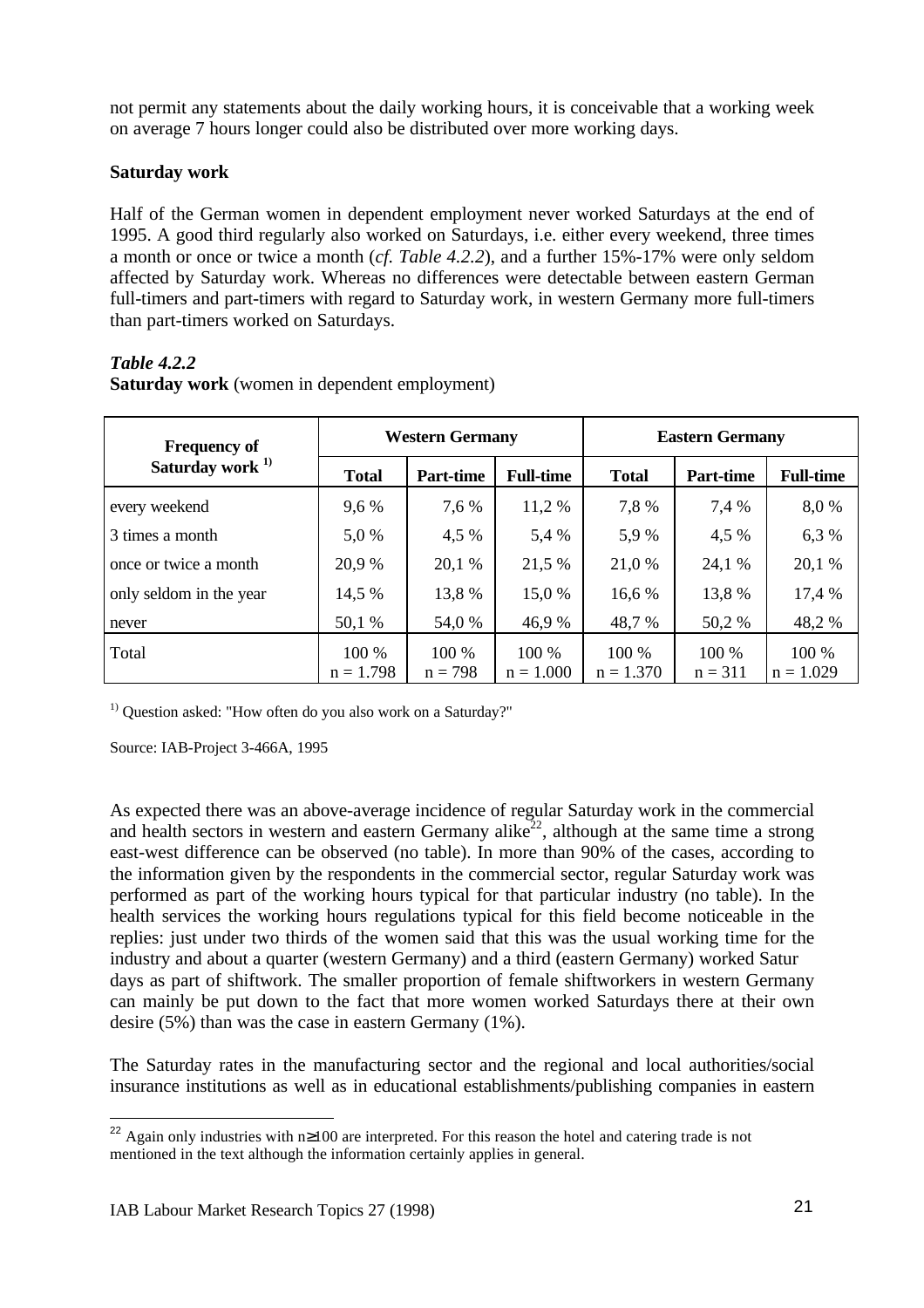not permit any statements about the daily working hours, it is conceivable that a working week on average 7 hours longer could also be distributed over more working days.

## **Saturday work**

Half of the German women in dependent employment never worked Saturdays at the end of 1995. A good third regularly also worked on Saturdays, i.e. either every weekend, three times a month or once or twice a month (*cf. Table 4.2.2*), and a further 15%-17% were only seldom affected by Saturday work. Whereas no differences were detectable between eastern German full-timers and part-timers with regard to Saturday work, in western Germany more full-timers than part-timers worked on Saturdays.

# *Table 4.2.2*

| <b>Frequency of</b>         | <b>Western Germany</b> |           |                  | <b>Eastern Germany</b> |           |                  |  |
|-----------------------------|------------------------|-----------|------------------|------------------------|-----------|------------------|--|
| Saturday work <sup>1)</sup> | <b>Total</b>           | Part-time | <b>Full-time</b> | <b>Total</b>           | Part-time | <b>Full-time</b> |  |
| every weekend               | 9,6 %                  | 7,6 %     | 11,2 %           | 7,8%                   | 7,4 %     | 8,0 %            |  |
| 3 times a month             | 5,0 %                  | 4,5 %     | 5,4 %            | 5,9%                   | 4,5 %     | 6,3 %            |  |
| once or twice a month       | 20,9 %                 | 20,1 %    | 21,5 %           | 21,0 %                 | 24,1 %    | 20,1 %           |  |
| only seldom in the year     | 14,5 %                 | 13,8 %    | 15,0 %           | 16,6 %                 | 13,8 %    | 17,4 %           |  |
| never                       | 50,1 %                 | 54,0 %    | 46,9 %           | 48,7 %                 | 50,2 %    | 48,2%            |  |
| Total                       | 100 %                  | 100 %     | $100\%$          | 100 %                  | $100\%$   | 100 %            |  |
|                             | $n = 1.798$            | $n = 798$ | $n = 1.000$      | $n = 1.370$            | $n = 311$ | $n = 1.029$      |  |

**Saturday work** (women in dependent employment)

<sup>1)</sup> Question asked: "How often do you also work on a Saturday?"

Source: IAB-Project 3-466A, 1995

As expected there was an above-average incidence of regular Saturday work in the commercial and health sectors in western and eastern Germany alike<sup>22</sup>, although at the same time a strong east-west difference can be observed (no table). In more than 90% of the cases, according to the information given by the respondents in the commercial sector, regular Saturday work was performed as part of the working hours typical for that particular industry (no table). In the health services the working hours regulations typical for this field become noticeable in the replies: just under two thirds of the women said that this was the usual working time for the industry and about a quarter (western Germany) and a third (eastern Germany) worked Satur days as part of shiftwork. The smaller proportion of female shiftworkers in western Germany can mainly be put down to the fact that more women worked Saturdays there at their own desire (5%) than was the case in eastern Germany (1%).

The Saturday rates in the manufacturing sector and the regional and local authorities/social insurance institutions as well as in educational establishments/publishing companies in eastern

<sup>&</sup>lt;sup>22</sup> Again only industries with n≥100 are interpreted. For this reason the hotel and catering trade is not mentioned in the text although the information certainly applies in general.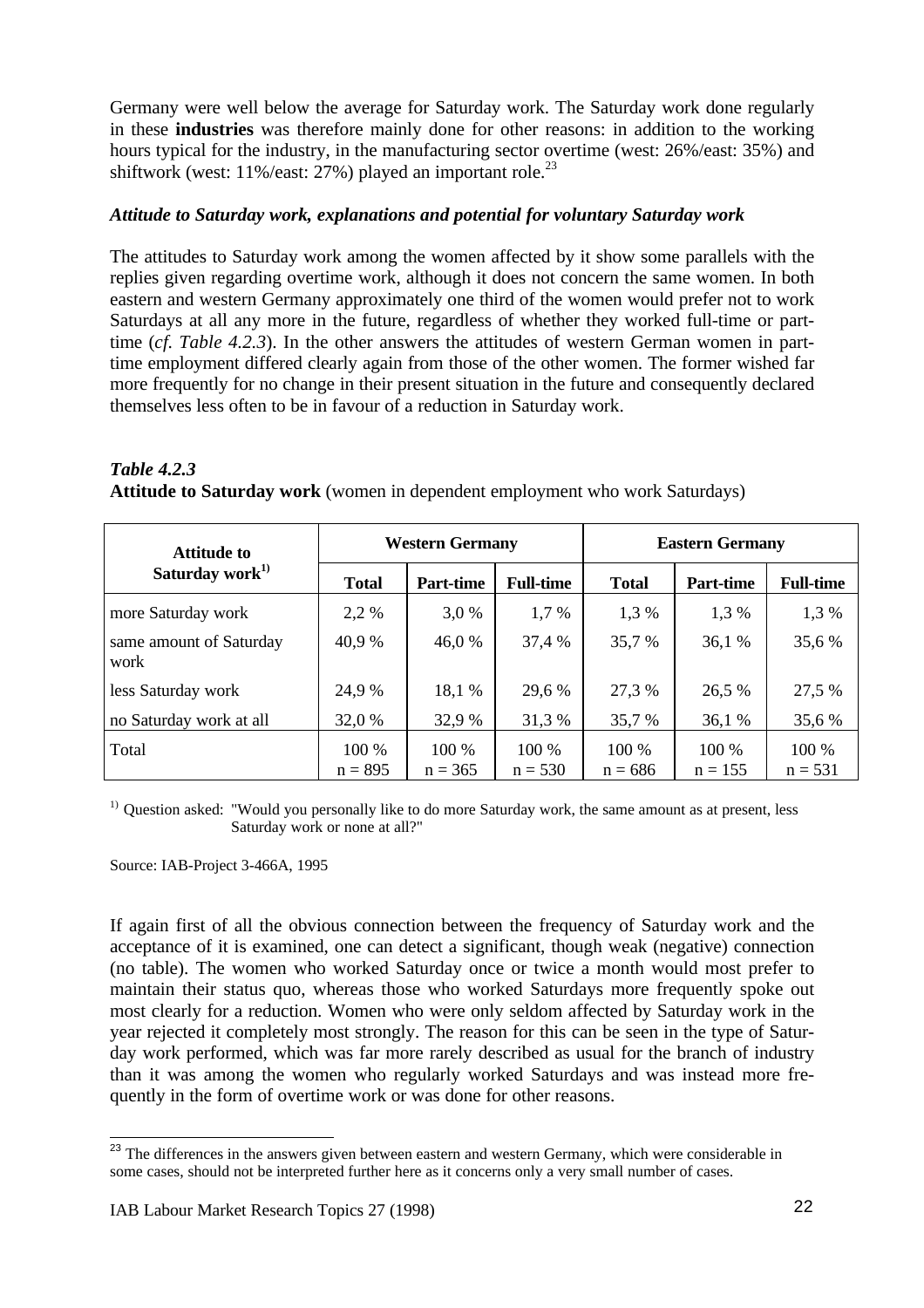Germany were well below the average for Saturday work. The Saturday work done regularly in these **industries** was therefore mainly done for other reasons: in addition to the working hours typical for the industry, in the manufacturing sector overtime (west: 26%/east: 35%) and shiftwork (west:  $11\%$ /east:  $27\%$ ) played an important role.<sup>23</sup>

# *Attitude to Saturday work, explanations and potential for voluntary Saturday work*

The attitudes to Saturday work among the women affected by it show some parallels with the replies given regarding overtime work, although it does not concern the same women. In both eastern and western Germany approximately one third of the women would prefer not to work Saturdays at all any more in the future, regardless of whether they worked full-time or parttime (*cf. Table 4.2.3*). In the other answers the attitudes of western German women in parttime employment differed clearly again from those of the other women. The former wished far more frequently for no change in their present situation in the future and consequently declared themselves less often to be in favour of a reduction in Saturday work.

| <b>Table 4.2.3</b>                                                                  |  |  |  |  |
|-------------------------------------------------------------------------------------|--|--|--|--|
| <b>Attitude to Saturday work</b> (women in dependent employment who work Saturdays) |  |  |  |  |

| <b>Attitude to</b>              | <b>Western Germany</b> |                    |                    | <b>Eastern Germany</b> |                    |                    |  |
|---------------------------------|------------------------|--------------------|--------------------|------------------------|--------------------|--------------------|--|
| Saturday work <sup>1)</sup>     | <b>Total</b>           | <b>Part-time</b>   | <b>Full-time</b>   | <b>Total</b>           | Part-time          | <b>Full-time</b>   |  |
| more Saturday work              | 2,2 %                  | 3,0 %              | 1,7%               | 1,3 %                  | 1,3 %              | 1,3 %              |  |
| same amount of Saturday<br>work | 40.9%                  | 46,0 %             | 37,4 %             | 35,7 %                 | 36,1 %             | 35,6 %             |  |
| less Saturday work              | 24,9 %                 | 18,1 %             | 29,6 %             | 27,3 %                 | 26,5 %             | 27,5 %             |  |
| no Saturday work at all         | 32,0 %                 | 32,9 %             | 31,3 %             | 35,7 %                 | 36,1 %             | 35,6 %             |  |
| Total                           | 100 %<br>$n = 895$     | 100 %<br>$n = 365$ | 100 %<br>$n = 530$ | 100 %<br>$n = 686$     | 100 %<br>$n = 155$ | 100 %<br>$n = 531$ |  |

<sup>1)</sup> Question asked: "Would you personally like to do more Saturday work, the same amount as at present, less Saturday work or none at all?"

Source: IAB-Project 3-466A, 1995

If again first of all the obvious connection between the frequency of Saturday work and the acceptance of it is examined, one can detect a significant, though weak (negative) connection (no table). The women who worked Saturday once or twice a month would most prefer to maintain their status quo, whereas those who worked Saturdays more frequently spoke out most clearly for a reduction. Women who were only seldom affected by Saturday work in the year rejected it completely most strongly. The reason for this can be seen in the type of Saturday work performed, which was far more rarely described as usual for the branch of industry than it was among the women who regularly worked Saturdays and was instead more frequently in the form of overtime work or was done for other reasons.

 $\overline{\phantom{a}}$ <sup>23</sup> The differences in the answers given between eastern and western Germany, which were considerable in some cases, should not be interpreted further here as it concerns only a very small number of cases.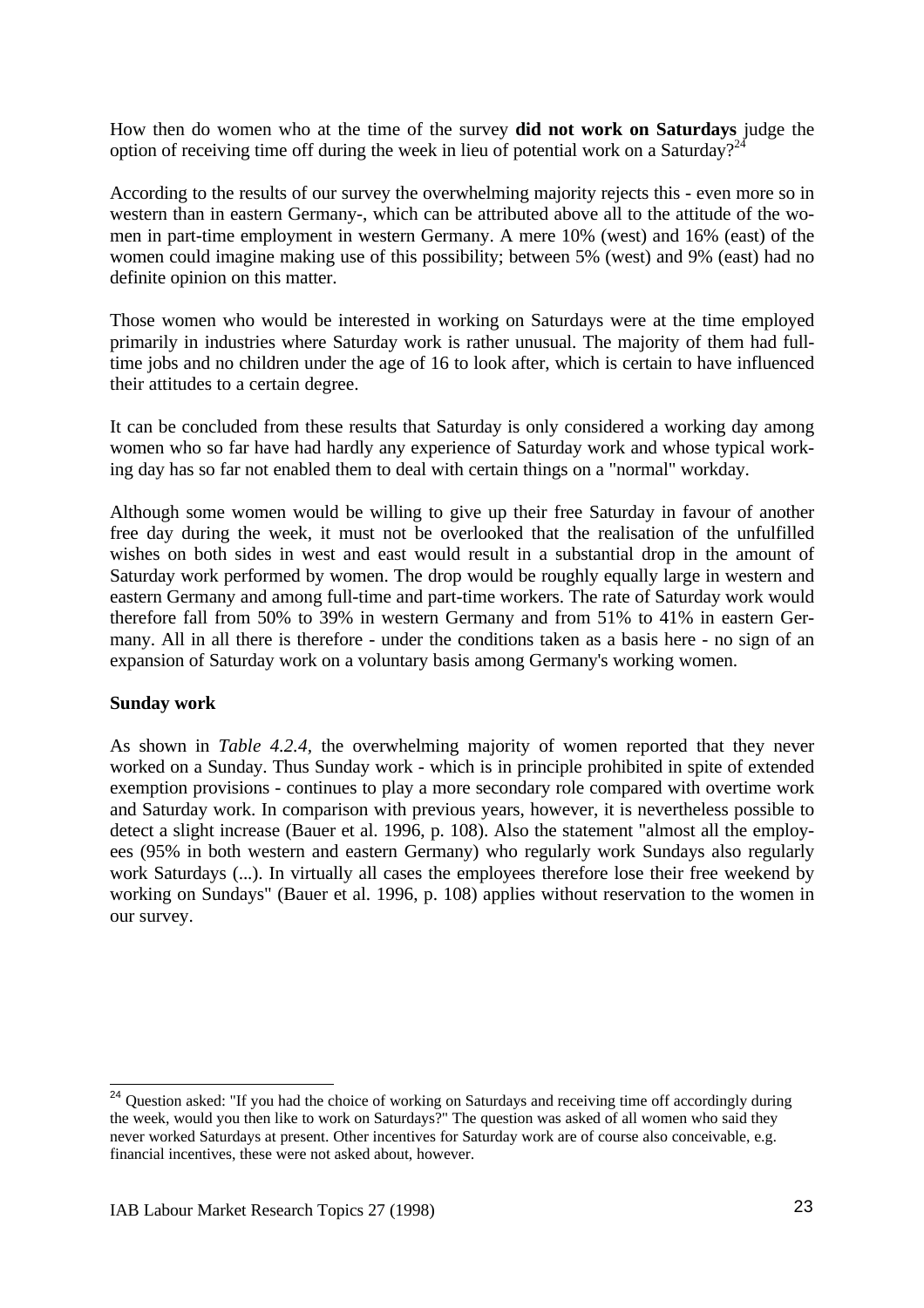How then do women who at the time of the survey **did not work on Saturdays** judge the option of receiving time off during the week in lieu of potential work on a Saturday?<sup>24</sup>

According to the results of our survey the overwhelming majority rejects this - even more so in western than in eastern Germany-, which can be attributed above all to the attitude of the women in part-time employment in western Germany. A mere 10% (west) and 16% (east) of the women could imagine making use of this possibility; between 5% (west) and 9% (east) had no definite opinion on this matter.

Those women who would be interested in working on Saturdays were at the time employed primarily in industries where Saturday work is rather unusual. The majority of them had fulltime jobs and no children under the age of 16 to look after, which is certain to have influenced their attitudes to a certain degree.

It can be concluded from these results that Saturday is only considered a working day among women who so far have had hardly any experience of Saturday work and whose typical working day has so far not enabled them to deal with certain things on a "normal" workday.

Although some women would be willing to give up their free Saturday in favour of another free day during the week, it must not be overlooked that the realisation of the unfulfilled wishes on both sides in west and east would result in a substantial drop in the amount of Saturday work performed by women. The drop would be roughly equally large in western and eastern Germany and among full-time and part-time workers. The rate of Saturday work would therefore fall from 50% to 39% in western Germany and from 51% to 41% in eastern Germany. All in all there is therefore - under the conditions taken as a basis here - no sign of an expansion of Saturday work on a voluntary basis among Germany's working women.

### **Sunday work**

As shown in *Table 4.2.4,* the overwhelming majority of women reported that they never worked on a Sunday. Thus Sunday work - which is in principle prohibited in spite of extended exemption provisions - continues to play a more secondary role compared with overtime work and Saturday work. In comparison with previous years, however, it is nevertheless possible to detect a slight increase (Bauer et al. 1996, p. 108). Also the statement "almost all the employees (95% in both western and eastern Germany) who regularly work Sundays also regularly work Saturdays (...). In virtually all cases the employees therefore lose their free weekend by working on Sundays" (Bauer et al. 1996, p. 108) applies without reservation to the women in our survey.

<sup>&</sup>lt;sup>24</sup> Question asked: "If you had the choice of working on Saturdays and receiving time off accordingly during the week, would you then like to work on Saturdays?" The question was asked of all women who said they never worked Saturdays at present. Other incentives for Saturday work are of course also conceivable, e.g. financial incentives, these were not asked about, however.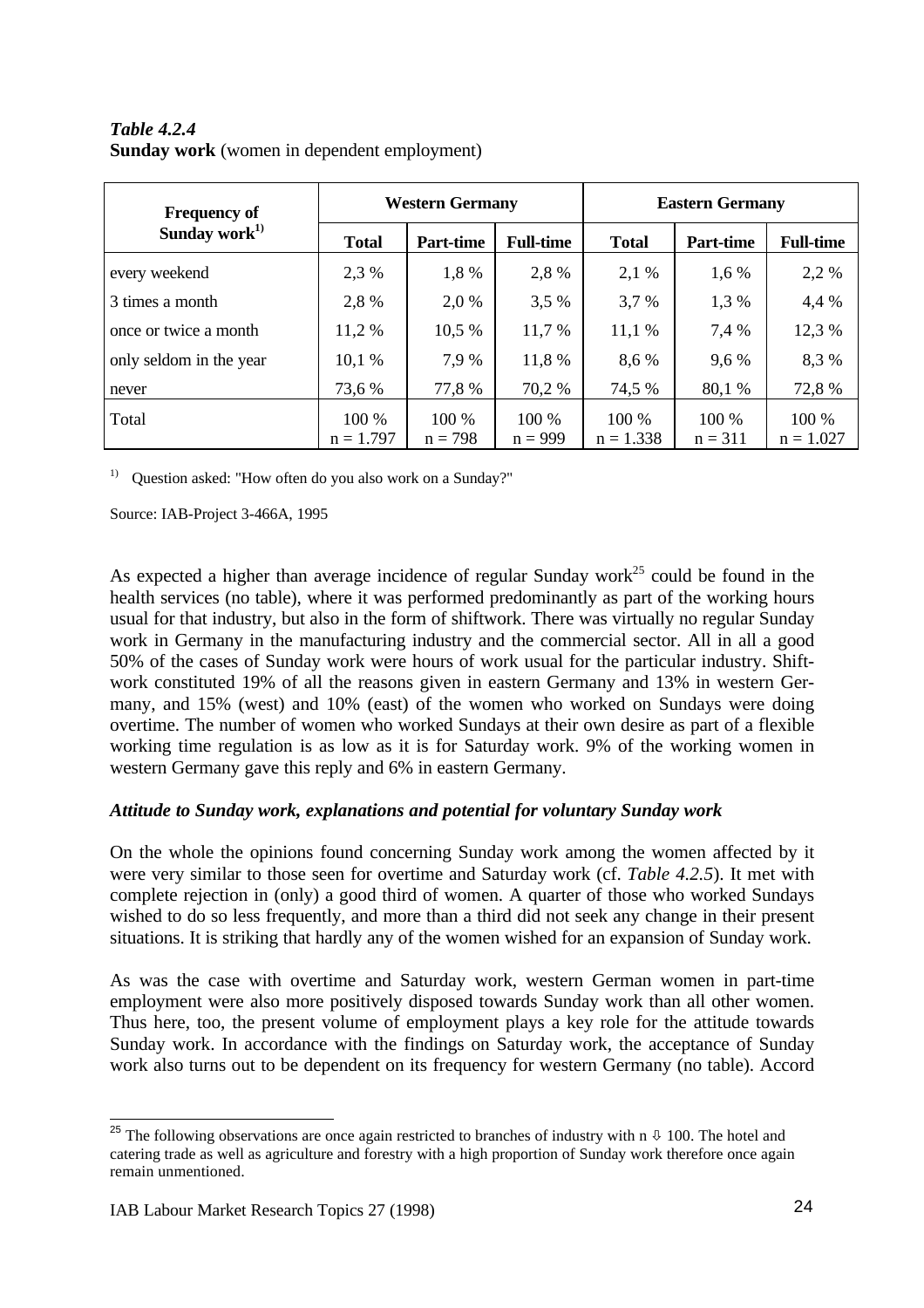# *Table 4.2.4* **Sunday work** (women in dependent employment)

| <b>Frequency of</b>       | <b>Western Germany</b> |                  |                  | <b>Eastern Germany</b> |                  |                  |  |
|---------------------------|------------------------|------------------|------------------|------------------------|------------------|------------------|--|
| Sunday work <sup>1)</sup> | <b>Total</b>           | <b>Part-time</b> | <b>Full-time</b> | <b>Total</b>           | <b>Part-time</b> | <b>Full-time</b> |  |
| every weekend             | 2,3 %                  | 1,8 %            | 2,8 %            | 2,1 %                  | 1,6 %            | 2,2 %            |  |
| 3 times a month           | 2,8%                   | 2,0 %            | 3,5 %            | 3,7 %                  | 1,3 %            | 4,4 %            |  |
| once or twice a month     | 11,2 %                 | 10,5 %           | 11,7 %           | 11,1%                  | 7,4 %            | 12,3 %           |  |
| only seldom in the year   | 10,1%                  | 7.9 %            | 11,8 %           | 8,6 %                  | 9,6 %            | 8,3%             |  |
| never                     | 73,6 %                 | 77,8 %           | 70,2 %           | 74,5 %                 | 80,1 %           | 72,8 %           |  |
| Total                     | 100 %                  | 100 %            | 100 %            | 100 %                  | 100 %            | 100 %            |  |
|                           | $n = 1.797$            | $n = 798$        | $n = 999$        | $n = 1.338$            | $n = 311$        | $n = 1.027$      |  |

<sup>1)</sup> Ouestion asked: "How often do you also work on a Sunday?"

Source: IAB-Project 3-466A, 1995

As expected a higher than average incidence of regular Sunday work<sup>25</sup> could be found in the health services (no table), where it was performed predominantly as part of the working hours usual for that industry, but also in the form of shiftwork. There was virtually no regular Sunday work in Germany in the manufacturing industry and the commercial sector. All in all a good 50% of the cases of Sunday work were hours of work usual for the particular industry. Shiftwork constituted 19% of all the reasons given in eastern Germany and 13% in western Germany, and 15% (west) and 10% (east) of the women who worked on Sundays were doing overtime. The number of women who worked Sundays at their own desire as part of a flexible working time regulation is as low as it is for Saturday work. 9% of the working women in western Germany gave this reply and 6% in eastern Germany.

# *Attitude to Sunday work, explanations and potential for voluntary Sunday work*

On the whole the opinions found concerning Sunday work among the women affected by it were very similar to those seen for overtime and Saturday work (cf. *Table 4.2.5*). It met with complete rejection in (only) a good third of women. A quarter of those who worked Sundays wished to do so less frequently, and more than a third did not seek any change in their present situations. It is striking that hardly any of the women wished for an expansion of Sunday work.

As was the case with overtime and Saturday work, western German women in part-time employment were also more positively disposed towards Sunday work than all other women. Thus here, too, the present volume of employment plays a key role for the attitude towards Sunday work. In accordance with the findings on Saturday work, the acceptance of Sunday work also turns out to be dependent on its frequency for western Germany (no table). Accord

 $\overline{a}$ <sup>25</sup> The following observations are once again restricted to branches of industry with n  $\sqrt{0}$  100. The hotel and catering trade as well as agriculture and forestry with a high proportion of Sunday work therefore once again remain unmentioned.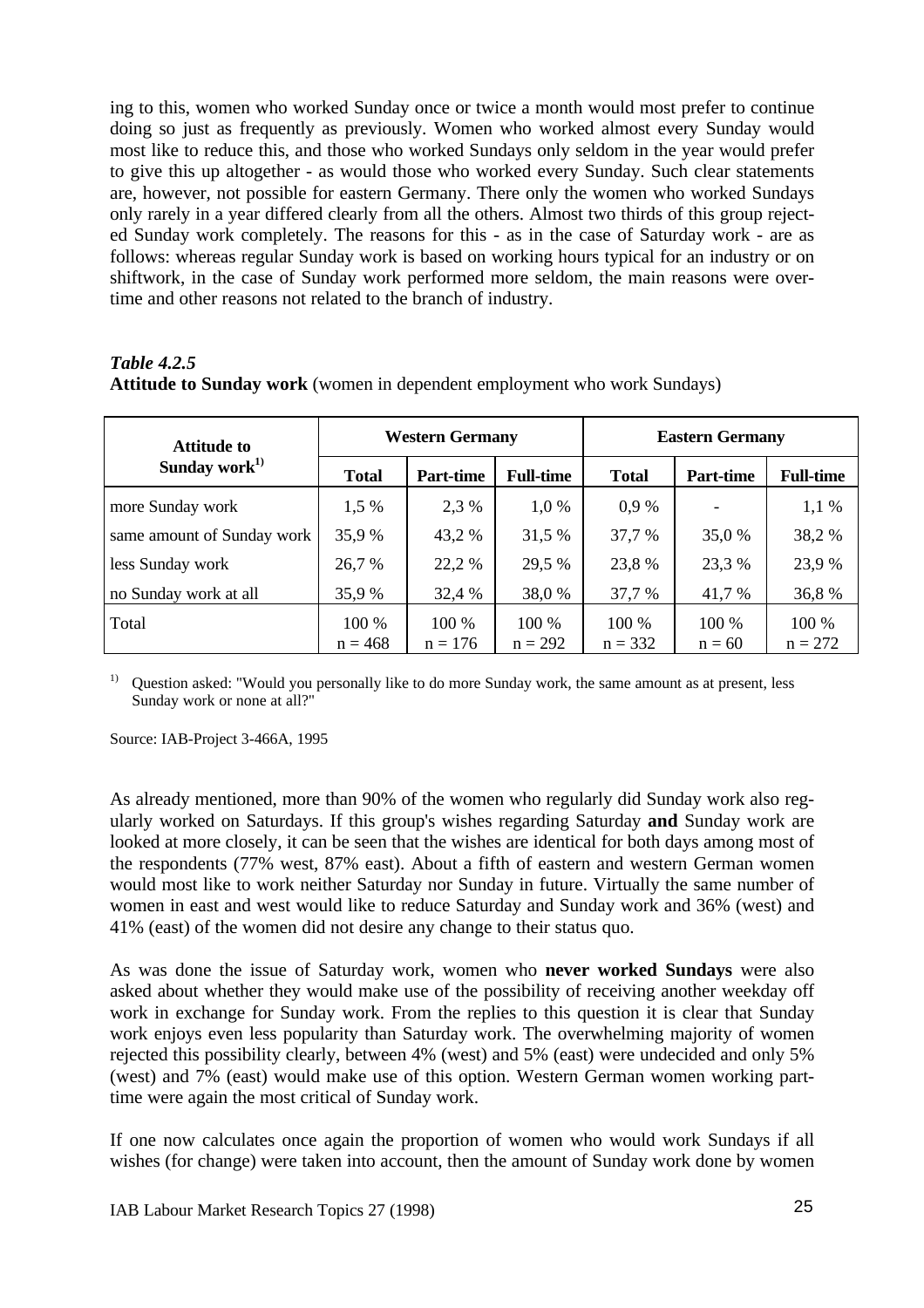ing to this, women who worked Sunday once or twice a month would most prefer to continue doing so just as frequently as previously. Women who worked almost every Sunday would most like to reduce this, and those who worked Sundays only seldom in the year would prefer to give this up altogether - as would those who worked every Sunday. Such clear statements are, however, not possible for eastern Germany. There only the women who worked Sundays only rarely in a year differed clearly from all the others. Almost two thirds of this group rejected Sunday work completely. The reasons for this - as in the case of Saturday work - are as follows: whereas regular Sunday work is based on working hours typical for an industry or on shiftwork, in the case of Sunday work performed more seldom, the main reasons were overtime and other reasons not related to the branch of industry.

### *Table 4.2.5* **Attitude to Sunday work** (women in dependent employment who work Sundays)

| <b>Attitude to</b>         |              | <b>Western Germany</b> |                  | <b>Eastern Germany</b> |           |                  |  |
|----------------------------|--------------|------------------------|------------------|------------------------|-----------|------------------|--|
| Sunday work $^{1)}$        | <b>Total</b> | <b>Part-time</b>       | <b>Full-time</b> | <b>Total</b>           | Part-time | <b>Full-time</b> |  |
| more Sunday work           | 1.5 %        | 2.3 %                  | 1,0 %            | 0.9%                   |           | $1,1\%$          |  |
| same amount of Sunday work | 35,9 %       | 43,2 %                 | 31,5 %           | 37,7 %                 | 35,0 %    | 38,2 %           |  |
| less Sunday work           | 26,7 %       | 22,2 %                 | 29,5 %           | 23,8%                  | 23,3 %    | 23,9 %           |  |
| no Sunday work at all      | 35,9 %       | 32,4 %                 | 38,0 %           | 37,7 %                 | 41,7 %    | 36,8%            |  |
| Total                      | 100 %        | 100 %                  | $100\%$          | $100\%$                | 100 %     | 100 %            |  |
|                            | $n = 468$    | $n = 176$              | $n = 292$        | $n = 332$              | $n = 60$  | $n = 272$        |  |

<sup>1)</sup> Question asked: "Would you personally like to do more Sunday work, the same amount as at present, less Sunday work or none at all?"

Source: IAB-Project 3-466A, 1995

As already mentioned, more than 90% of the women who regularly did Sunday work also regularly worked on Saturdays. If this group's wishes regarding Saturday **and** Sunday work are looked at more closely, it can be seen that the wishes are identical for both days among most of the respondents (77% west, 87% east). About a fifth of eastern and western German women would most like to work neither Saturday nor Sunday in future. Virtually the same number of women in east and west would like to reduce Saturday and Sunday work and 36% (west) and 41% (east) of the women did not desire any change to their status quo.

As was done the issue of Saturday work, women who **never worked Sundays** were also asked about whether they would make use of the possibility of receiving another weekday off work in exchange for Sunday work. From the replies to this question it is clear that Sunday work enjoys even less popularity than Saturday work. The overwhelming majority of women rejected this possibility clearly, between 4% (west) and 5% (east) were undecided and only 5% (west) and 7% (east) would make use of this option. Western German women working parttime were again the most critical of Sunday work.

If one now calculates once again the proportion of women who would work Sundays if all wishes (for change) were taken into account, then the amount of Sunday work done by women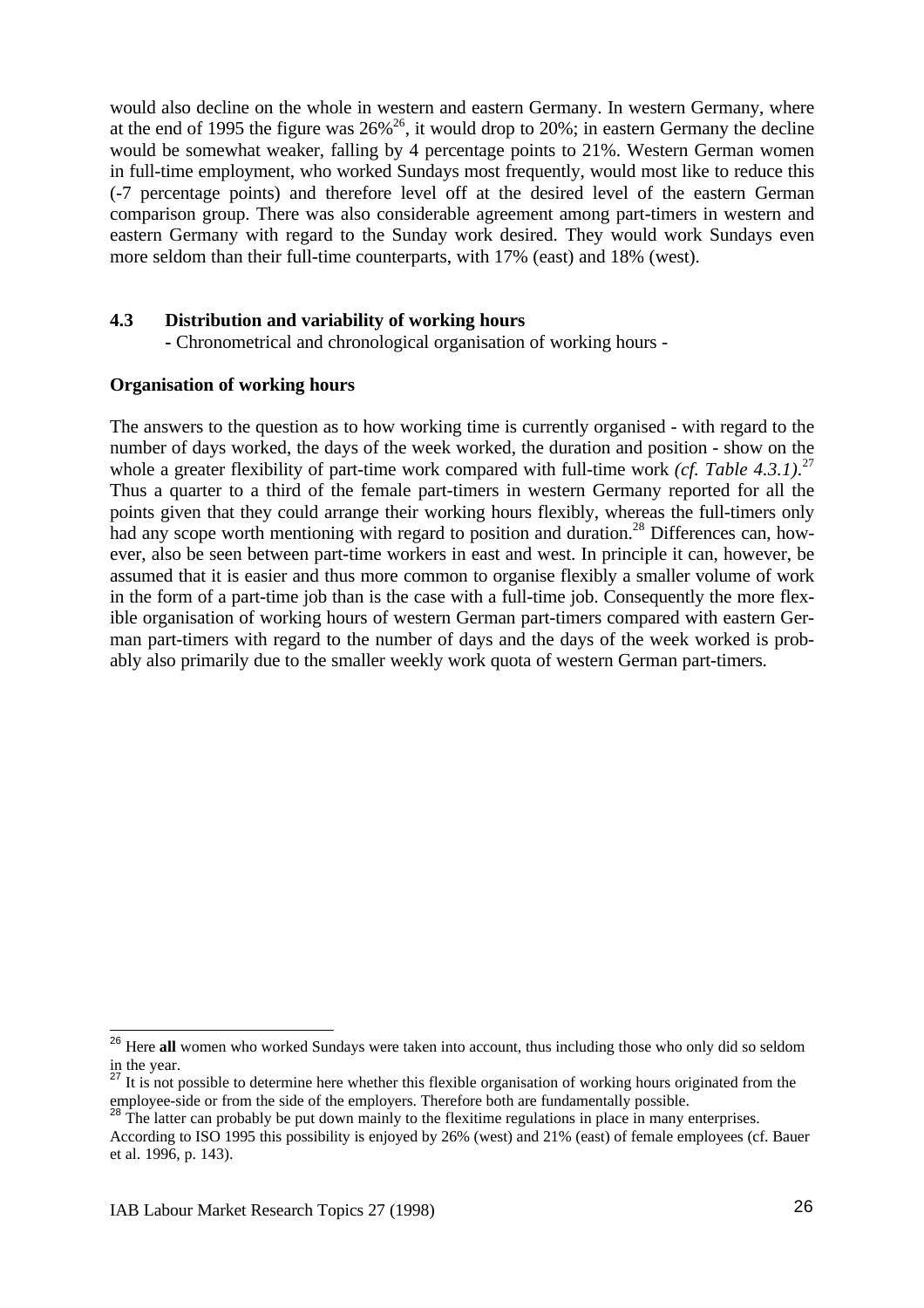would also decline on the whole in western and eastern Germany. In western Germany, where at the end of 1995 the figure was  $26\%^{26}$ , it would drop to 20%; in eastern Germany the decline would be somewhat weaker, falling by 4 percentage points to 21%. Western German women in full-time employment, who worked Sundays most frequently, would most like to reduce this (-7 percentage points) and therefore level off at the desired level of the eastern German comparison group. There was also considerable agreement among part-timers in western and eastern Germany with regard to the Sunday work desired. They would work Sundays even more seldom than their full-time counterparts, with 17% (east) and 18% (west).

### **4.3 Distribution and variability of working hours**

**-** Chronometrical and chronological organisation of working hours -

### **Organisation of working hours**

The answers to the question as to how working time is currently organised - with regard to the number of days worked, the days of the week worked, the duration and position - show on the whole a greater flexibility of part-time work compared with full-time work *(cf. Table 4.3.1)*.<sup>27</sup> Thus a quarter to a third of the female part-timers in western Germany reported for all the points given that they could arrange their working hours flexibly, whereas the full-timers only had any scope worth mentioning with regard to position and duration.<sup>28</sup> Differences can, however, also be seen between part-time workers in east and west. In principle it can, however, be assumed that it is easier and thus more common to organise flexibly a smaller volume of work in the form of a part-time job than is the case with a full-time job. Consequently the more flexible organisation of working hours of western German part-timers compared with eastern German part-timers with regard to the number of days and the days of the week worked is probably also primarily due to the smaller weekly work quota of western German part-timers.

 $\overline{1}$ 

<sup>&</sup>lt;sup>26</sup> Here all women who worked Sundays were taken into account, thus including those who only did so seldom in the year.

It is not possible to determine here whether this flexible organisation of working hours originated from the employee-side or from the side of the employers. Therefore both are fundamentally possible.

The latter can probably be put down mainly to the flexitime regulations in place in many enterprises.

According to ISO 1995 this possibility is enjoyed by 26% (west) and 21% (east) of female employees (cf. Bauer et al. 1996, p. 143).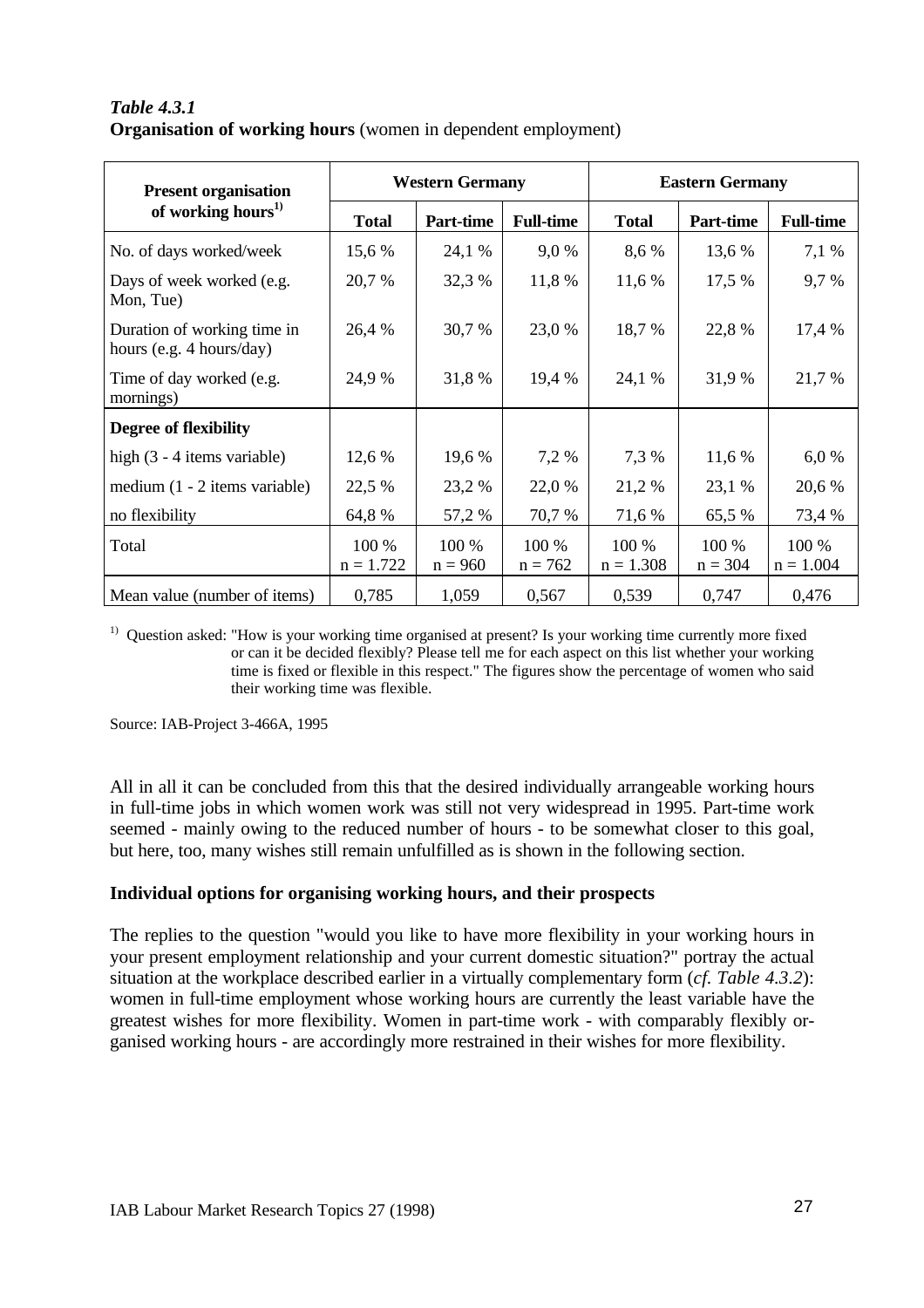# *Table 4.3.1* **Organisation of working hours** (women in dependent employment)

| <b>Present organisation</b>                             |                      | <b>Western Germany</b> |                    | <b>Eastern Germany</b> |                    |                      |  |
|---------------------------------------------------------|----------------------|------------------------|--------------------|------------------------|--------------------|----------------------|--|
| of working hours $^{1)}$                                | <b>Total</b>         | Part-time              | <b>Full-time</b>   | <b>Total</b>           | <b>Part-time</b>   | <b>Full-time</b>     |  |
| No. of days worked/week                                 | 15,6 %               | 24,1 %                 | 9,0%               | 8,6 %                  | 13,6 %             | 7,1 %                |  |
| Days of week worked (e.g.<br>Mon, Tue)                  | 20,7 %               | 32,3 %                 | 11,8 %             | 11,6 %                 | 17,5 %             | 9,7%                 |  |
| Duration of working time in<br>hours (e.g. 4 hours/day) | 26,4 %               | 30,7 %                 | 23,0 %             | 18,7 %                 | 22,8 %             | 17,4 %               |  |
| Time of day worked (e.g.<br>mornings)                   | 24,9 %               | 31,8 %                 | 19,4 %             | 24,1 %                 | 31,9 %             | 21,7 %               |  |
| <b>Degree of flexibility</b>                            |                      |                        |                    |                        |                    |                      |  |
| high $(3 - 4$ items variable)                           | 12,6 %               | 19,6 %                 | 7,2 %              | 7,3 %                  | 11,6 %             | 6,0%                 |  |
| medium $(1 - 2$ items variable)                         | 22,5 %               | 23,2 %                 | 22,0 %             | 21,2 %                 | 23,1 %             | 20,6 %               |  |
| no flexibility                                          | 64,8%                | 57,2 %                 | 70,7%              | 71,6 %                 | 65,5 %             | 73,4 %               |  |
| Total                                                   | 100 %<br>$n = 1.722$ | 100 %<br>$n = 960$     | 100 %<br>$n = 762$ | 100 %<br>$n = 1.308$   | 100 %<br>$n = 304$ | 100 %<br>$n = 1.004$ |  |
| Mean value (number of items)                            | 0,785                | 1,059                  | 0,567              | 0,539                  | 0,747              | 0,476                |  |

<sup>1)</sup> Question asked: "How is your working time organised at present? Is your working time currently more fixed or can it be decided flexibly? Please tell me for each aspect on this list whether your working time is fixed or flexible in this respect." The figures show the percentage of women who said their working time was flexible.

Source: IAB-Project 3-466A, 1995

All in all it can be concluded from this that the desired individually arrangeable working hours in full-time jobs in which women work was still not very widespread in 1995. Part-time work seemed - mainly owing to the reduced number of hours - to be somewhat closer to this goal, but here, too, many wishes still remain unfulfilled as is shown in the following section.

### **Individual options for organising working hours, and their prospects**

The replies to the question "would you like to have more flexibility in your working hours in your present employment relationship and your current domestic situation?" portray the actual situation at the workplace described earlier in a virtually complementary form (*cf. Table 4.3.2*): women in full-time employment whose working hours are currently the least variable have the greatest wishes for more flexibility. Women in part-time work - with comparably flexibly organised working hours - are accordingly more restrained in their wishes for more flexibility.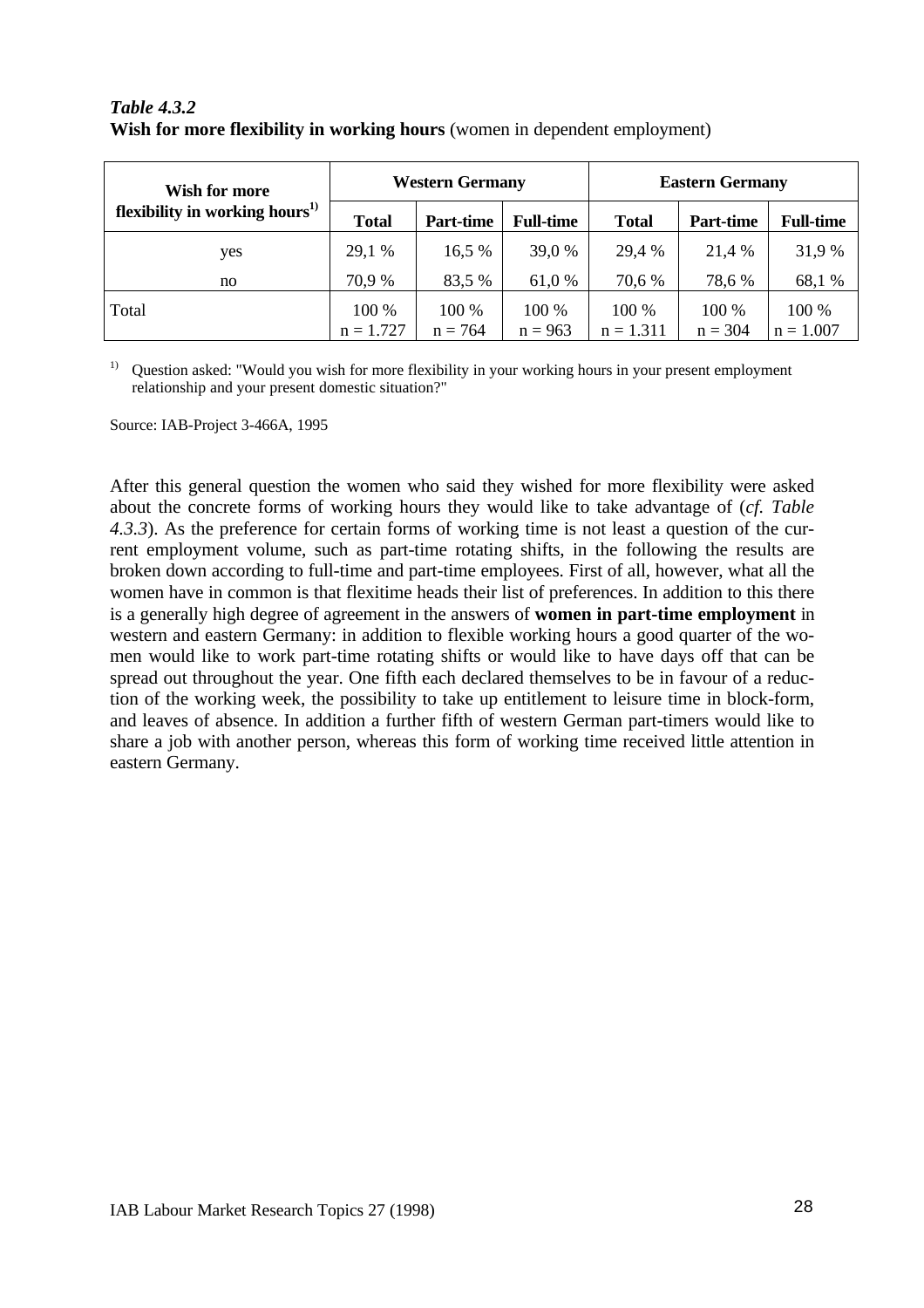| Wish for more                              | <b>Western Germany</b> |           |                  | <b>Eastern Germany</b> |                  |                  |  |
|--------------------------------------------|------------------------|-----------|------------------|------------------------|------------------|------------------|--|
| flexibility in working hours <sup>1)</sup> | <b>Total</b>           | Part-time | <b>Full-time</b> | <b>Total</b>           | <b>Part-time</b> | <b>Full-time</b> |  |
| yes                                        | 29,1 %                 | 16,5%     | 39,0 %           | 29,4 %                 | 21,4 %           | 31,9 %           |  |
| no                                         | 70,9 %                 | 83,5 %    | 61,0 %           | 70,6 %                 | 78,6 %           | 68,1 %           |  |
| Total                                      | 100 %                  | 100 %     | 100 %            | 100 %                  | 100 %            | 100 %            |  |
|                                            | $n = 1.727$            | $n = 764$ | $n = 963$        | $n = 1.311$            | $n = 304$        | $n = 1.007$      |  |

## *Table 4.3.2* **Wish for more flexibility in working hours** (women in dependent employment)

<sup>1)</sup> Question asked: "Would you wish for more flexibility in your working hours in your present employment relationship and your present domestic situation?"

Source: IAB-Project 3-466A, 1995

After this general question the women who said they wished for more flexibility were asked about the concrete forms of working hours they would like to take advantage of (*cf. Table 4.3.3*). As the preference for certain forms of working time is not least a question of the current employment volume, such as part-time rotating shifts, in the following the results are broken down according to full-time and part-time employees. First of all, however, what all the women have in common is that flexitime heads their list of preferences. In addition to this there is a generally high degree of agreement in the answers of **women in part-time employment** in western and eastern Germany: in addition to flexible working hours a good quarter of the women would like to work part-time rotating shifts or would like to have days off that can be spread out throughout the year. One fifth each declared themselves to be in favour of a reduction of the working week, the possibility to take up entitlement to leisure time in block-form, and leaves of absence. In addition a further fifth of western German part-timers would like to share a job with another person, whereas this form of working time received little attention in eastern Germany.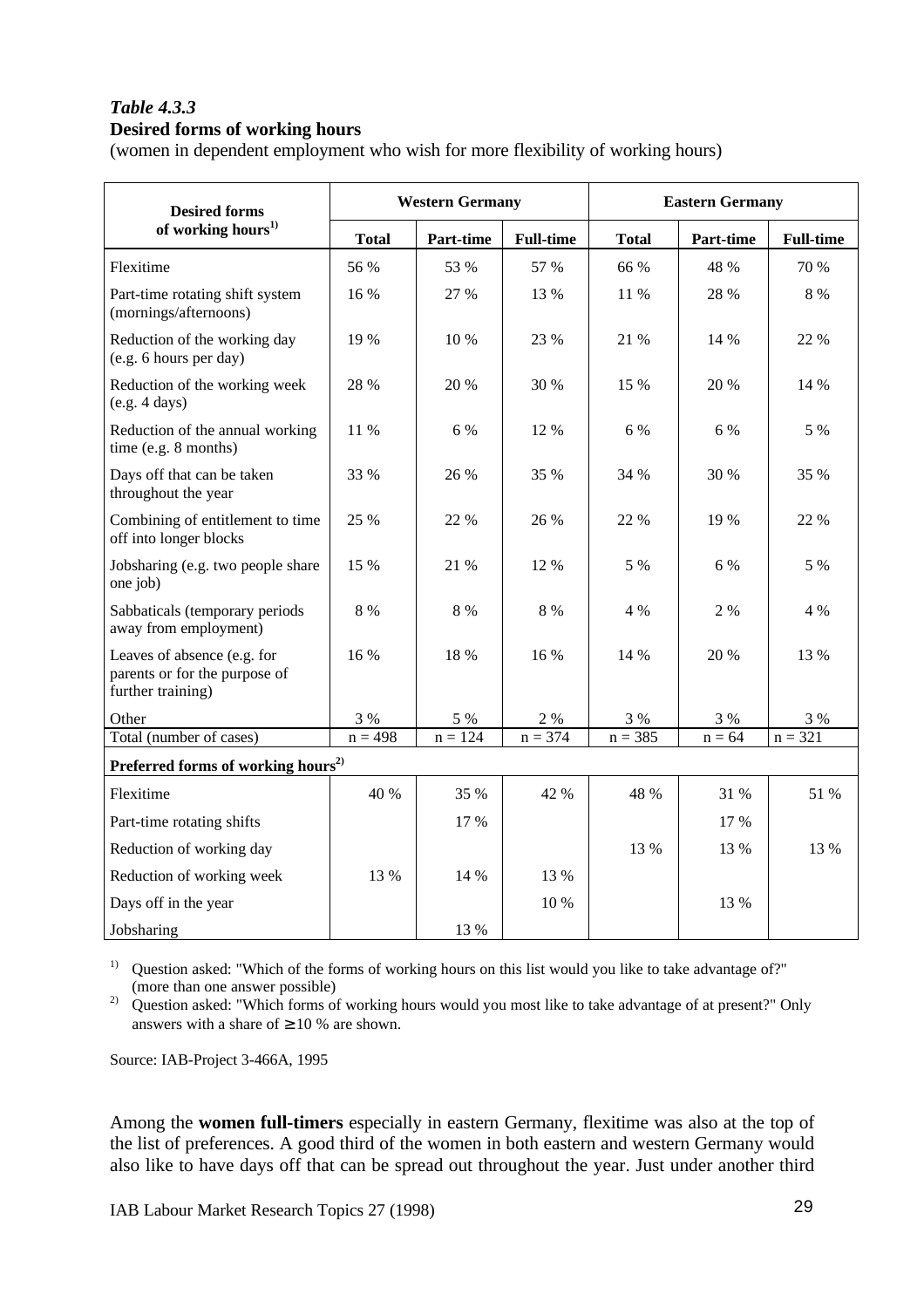### *Table 4.3.3* **Desired forms of working hours**

(women in dependent employment who wish for more flexibility of working hours)

| <b>Desired forms</b>                                                              |              | <b>Western Germany</b> |                  | <b>Eastern Germany</b> |           |                  |  |  |  |
|-----------------------------------------------------------------------------------|--------------|------------------------|------------------|------------------------|-----------|------------------|--|--|--|
| of working hours <sup>1)</sup>                                                    | <b>Total</b> | Part-time              | <b>Full-time</b> | <b>Total</b>           | Part-time | <b>Full-time</b> |  |  |  |
| Flexitime                                                                         | 56 %         | 53 %                   | 57 %             | 66 %                   | 48 %      | 70 %             |  |  |  |
| Part-time rotating shift system<br>(mornings/afternoons)                          | 16 %         | 27 %                   | 13 %             | 11 %                   | 28 %      | 8 %              |  |  |  |
| Reduction of the working day<br>(e.g. 6 hours per day)                            | 19 %         | 10 %                   | 23 %             | 21 %                   | 14 %      | 22 %             |  |  |  |
| Reduction of the working week<br>(e.g. 4 days)                                    | 28 %         | 20 %                   | 30 %             | 15 %                   | 20 %      | 14 %             |  |  |  |
| Reduction of the annual working<br>time (e.g. 8 months)                           | 11 %         | 6 %                    | 12 %             | 6 %                    | 6 %       | 5 %              |  |  |  |
| Days off that can be taken<br>throughout the year                                 | 33 %         | 26 %                   | 35 %             | 34 %                   | 30 %      | 35 %             |  |  |  |
| Combining of entitlement to time<br>off into longer blocks                        | 25 %         | 22 %                   | 26 %             | 22 %                   | 19 %      | 22 %             |  |  |  |
| Jobsharing (e.g. two people share<br>one job)                                     | 15 %         | 21 %                   | 12 %             | 5 %                    | 6 %       | 5 %              |  |  |  |
| Sabbaticals (temporary periods<br>away from employment)                           | $8\ \%$      | 8 %                    | 8 %              | 4 %                    | 2 %       | 4 %              |  |  |  |
| Leaves of absence (e.g. for<br>parents or for the purpose of<br>further training) | 16%          | 18 %                   | 16%              | 14 %                   | 20 %      | 13 %             |  |  |  |
| Other                                                                             | 3 %          | 5 %                    | $2 \ \%$         | 3 %                    | 3 %       | 3 %              |  |  |  |
| Total (number of cases)                                                           | $n = 498$    | $n = 124$              | $n = 374$        | $n = 385$              | $n = 64$  | $n = 321$        |  |  |  |
| Preferred forms of working hours <sup>2)</sup>                                    |              |                        |                  |                        |           |                  |  |  |  |
| Flexitime                                                                         | 40 %         | 35 %                   | 42 %             | 48 %                   | 31 %      | 51 %             |  |  |  |
| Part-time rotating shifts                                                         |              | 17 %                   |                  |                        | 17 %      |                  |  |  |  |
| Reduction of working day                                                          |              |                        |                  | 13 %                   | 13 %      | 13 %             |  |  |  |
| Reduction of working week                                                         | 13 %         | 14 %                   | 13 %             |                        |           |                  |  |  |  |
| Days off in the year                                                              |              |                        | 10 %             |                        | 13 %      |                  |  |  |  |
| Jobsharing                                                                        |              | 13 %                   |                  |                        |           |                  |  |  |  |

<sup>1)</sup> Question asked: "Which of the forms of working hours on this list would you like to take advantage of?" (more than one answer possible)

<sup>2)</sup> Question asked: "Which forms of working hours would you most like to take advantage of at present?" Only answers with a share of  $\geq 10$  % are shown.

Source: IAB-Project 3-466A, 1995

Among the **women full-timers** especially in eastern Germany, flexitime was also at the top of the list of preferences. A good third of the women in both eastern and western Germany would also like to have days off that can be spread out throughout the year. Just under another third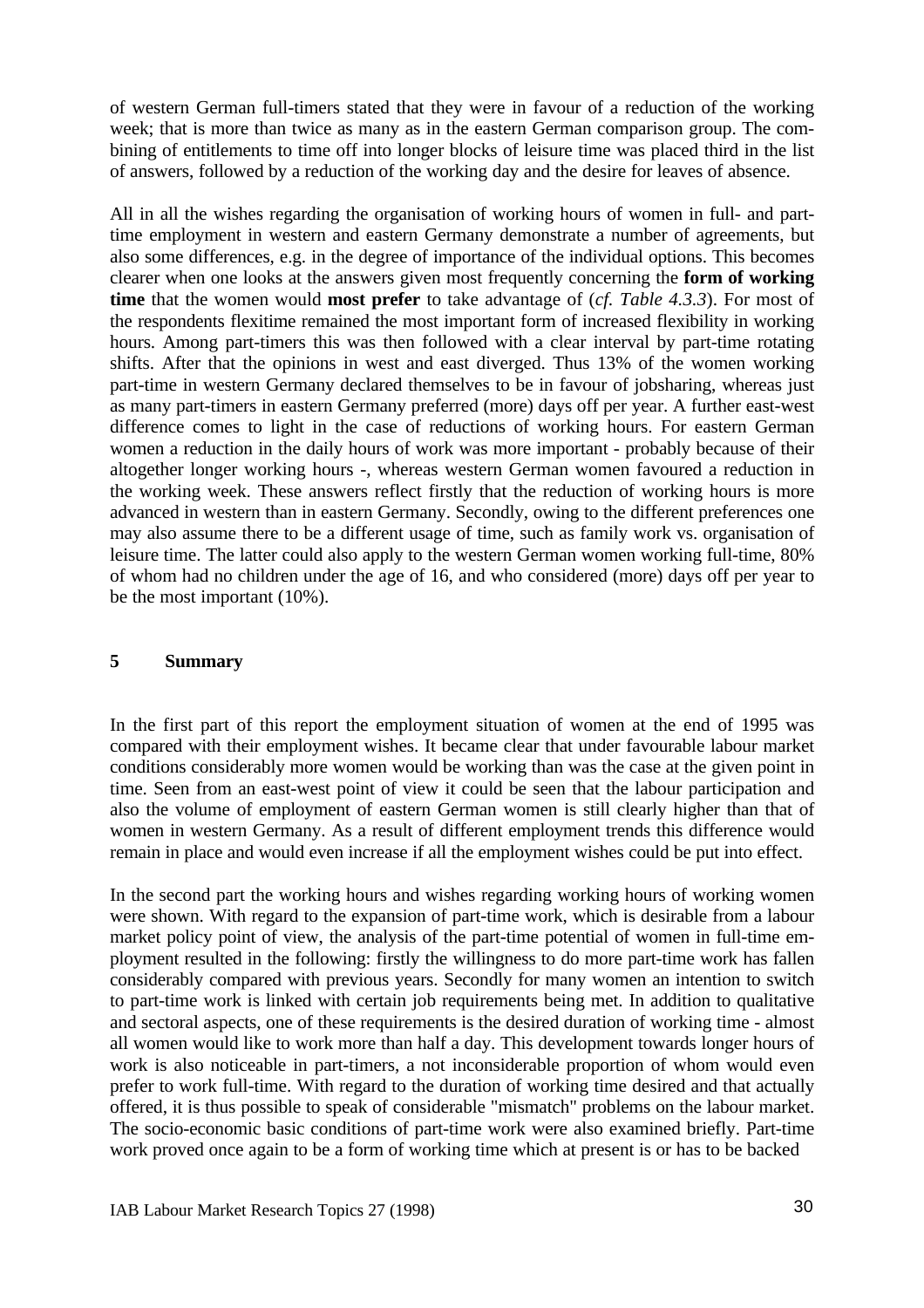of western German full-timers stated that they were in favour of a reduction of the working week; that is more than twice as many as in the eastern German comparison group. The combining of entitlements to time off into longer blocks of leisure time was placed third in the list of answers, followed by a reduction of the working day and the desire for leaves of absence.

All in all the wishes regarding the organisation of working hours of women in full- and parttime employment in western and eastern Germany demonstrate a number of agreements, but also some differences, e.g. in the degree of importance of the individual options. This becomes clearer when one looks at the answers given most frequently concerning the **form of working time** that the women would **most prefer** to take advantage of (*cf. Table 4.3.3*). For most of the respondents flexitime remained the most important form of increased flexibility in working hours. Among part-timers this was then followed with a clear interval by part-time rotating shifts. After that the opinions in west and east diverged. Thus 13% of the women working part-time in western Germany declared themselves to be in favour of jobsharing, whereas just as many part-timers in eastern Germany preferred (more) days off per year. A further east-west difference comes to light in the case of reductions of working hours. For eastern German women a reduction in the daily hours of work was more important - probably because of their altogether longer working hours -, whereas western German women favoured a reduction in the working week. These answers reflect firstly that the reduction of working hours is more advanced in western than in eastern Germany. Secondly, owing to the different preferences one may also assume there to be a different usage of time, such as family work vs. organisation of leisure time. The latter could also apply to the western German women working full-time, 80% of whom had no children under the age of 16, and who considered (more) days off per year to be the most important (10%).

### **5 Summary**

In the first part of this report the employment situation of women at the end of 1995 was compared with their employment wishes. It became clear that under favourable labour market conditions considerably more women would be working than was the case at the given point in time. Seen from an east-west point of view it could be seen that the labour participation and also the volume of employment of eastern German women is still clearly higher than that of women in western Germany. As a result of different employment trends this difference would remain in place and would even increase if all the employment wishes could be put into effect.

In the second part the working hours and wishes regarding working hours of working women were shown. With regard to the expansion of part-time work, which is desirable from a labour market policy point of view, the analysis of the part-time potential of women in full-time employment resulted in the following: firstly the willingness to do more part-time work has fallen considerably compared with previous years. Secondly for many women an intention to switch to part-time work is linked with certain job requirements being met. In addition to qualitative and sectoral aspects, one of these requirements is the desired duration of working time - almost all women would like to work more than half a day. This development towards longer hours of work is also noticeable in part-timers, a not inconsiderable proportion of whom would even prefer to work full-time. With regard to the duration of working time desired and that actually offered, it is thus possible to speak of considerable "mismatch" problems on the labour market. The socio-economic basic conditions of part-time work were also examined briefly. Part-time work proved once again to be a form of working time which at present is or has to be backed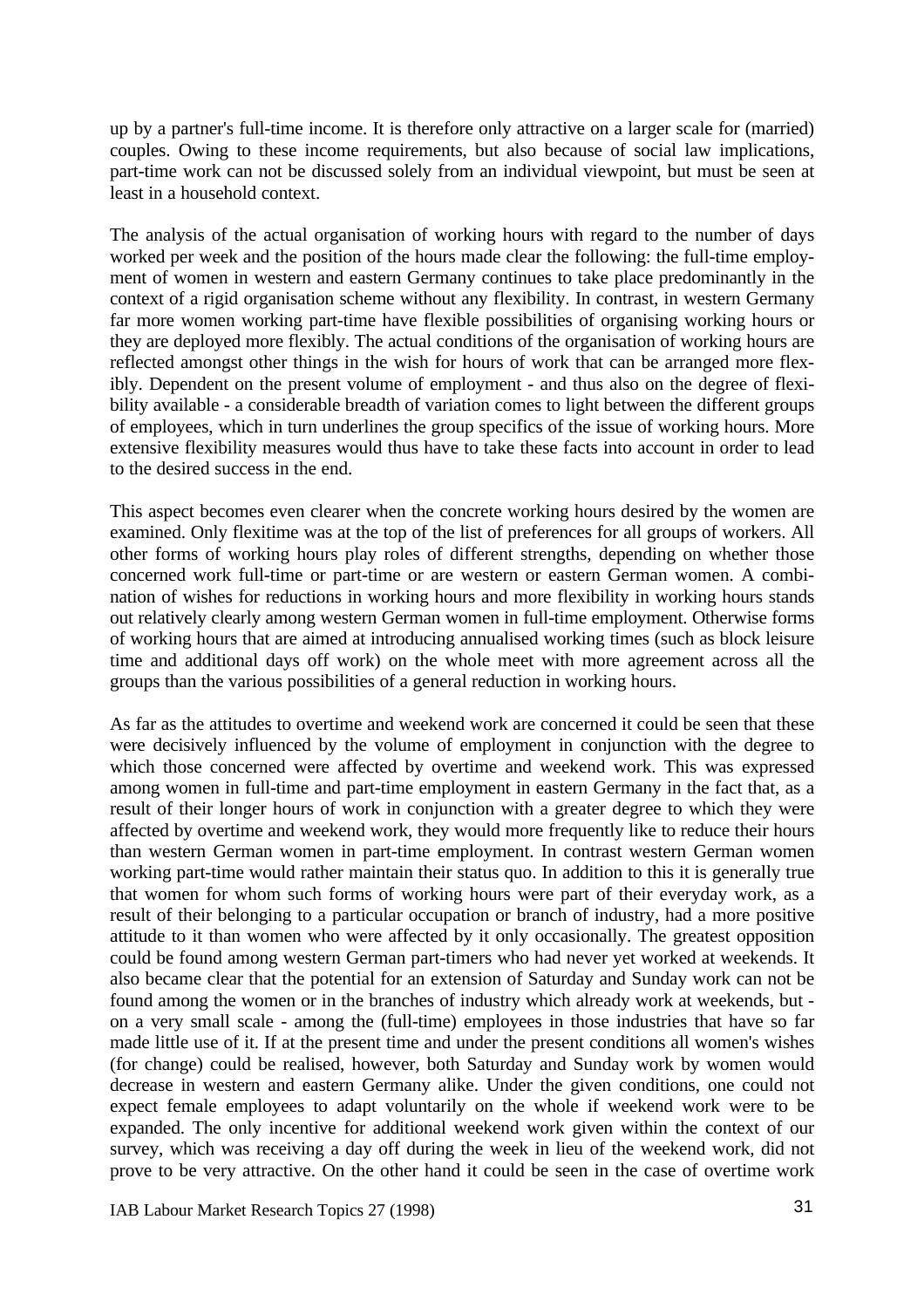up by a partner's full-time income. It is therefore only attractive on a larger scale for (married) couples. Owing to these income requirements, but also because of social law implications, part-time work can not be discussed solely from an individual viewpoint, but must be seen at least in a household context.

The analysis of the actual organisation of working hours with regard to the number of days worked per week and the position of the hours made clear the following: the full-time employment of women in western and eastern Germany continues to take place predominantly in the context of a rigid organisation scheme without any flexibility. In contrast, in western Germany far more women working part-time have flexible possibilities of organising working hours or they are deployed more flexibly. The actual conditions of the organisation of working hours are reflected amongst other things in the wish for hours of work that can be arranged more flexibly. Dependent on the present volume of employment - and thus also on the degree of flexibility available - a considerable breadth of variation comes to light between the different groups of employees, which in turn underlines the group specifics of the issue of working hours. More extensive flexibility measures would thus have to take these facts into account in order to lead to the desired success in the end.

This aspect becomes even clearer when the concrete working hours desired by the women are examined. Only flexitime was at the top of the list of preferences for all groups of workers. All other forms of working hours play roles of different strengths, depending on whether those concerned work full-time or part-time or are western or eastern German women. A combination of wishes for reductions in working hours and more flexibility in working hours stands out relatively clearly among western German women in full-time employment. Otherwise forms of working hours that are aimed at introducing annualised working times (such as block leisure time and additional days off work) on the whole meet with more agreement across all the groups than the various possibilities of a general reduction in working hours.

As far as the attitudes to overtime and weekend work are concerned it could be seen that these were decisively influenced by the volume of employment in conjunction with the degree to which those concerned were affected by overtime and weekend work. This was expressed among women in full-time and part-time employment in eastern Germany in the fact that, as a result of their longer hours of work in conjunction with a greater degree to which they were affected by overtime and weekend work, they would more frequently like to reduce their hours than western German women in part-time employment. In contrast western German women working part-time would rather maintain their status quo. In addition to this it is generally true that women for whom such forms of working hours were part of their everyday work, as a result of their belonging to a particular occupation or branch of industry, had a more positive attitude to it than women who were affected by it only occasionally. The greatest opposition could be found among western German part-timers who had never yet worked at weekends. It also became clear that the potential for an extension of Saturday and Sunday work can not be found among the women or in the branches of industry which already work at weekends, but on a very small scale - among the (full-time) employees in those industries that have so far made little use of it. If at the present time and under the present conditions all women's wishes (for change) could be realised, however, both Saturday and Sunday work by women would decrease in western and eastern Germany alike. Under the given conditions, one could not expect female employees to adapt voluntarily on the whole if weekend work were to be expanded. The only incentive for additional weekend work given within the context of our survey, which was receiving a day off during the week in lieu of the weekend work, did not prove to be very attractive. On the other hand it could be seen in the case of overtime work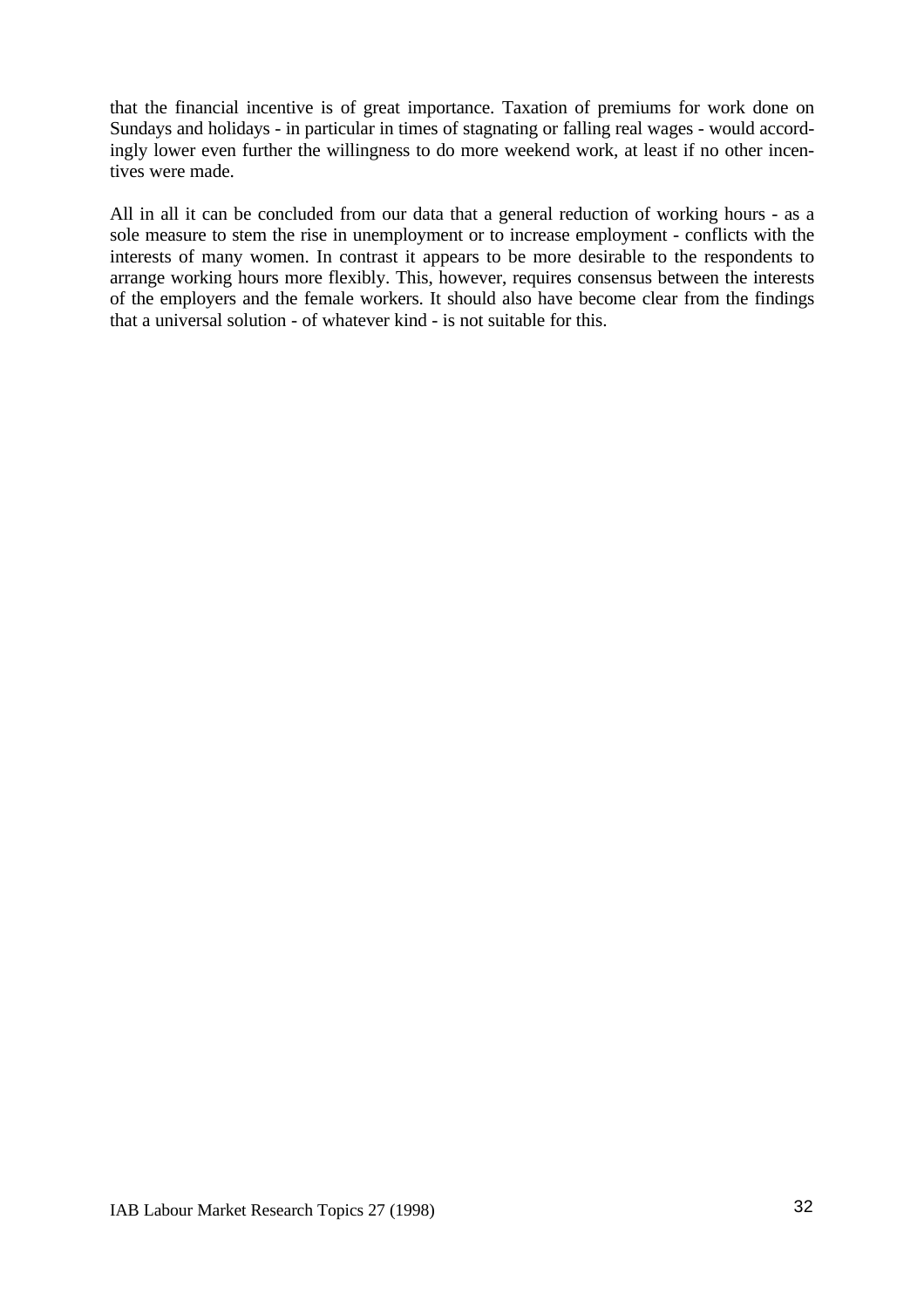that the financial incentive is of great importance. Taxation of premiums for work done on Sundays and holidays - in particular in times of stagnating or falling real wages - would accordingly lower even further the willingness to do more weekend work, at least if no other incentives were made.

All in all it can be concluded from our data that a general reduction of working hours - as a sole measure to stem the rise in unemployment or to increase employment - conflicts with the interests of many women. In contrast it appears to be more desirable to the respondents to arrange working hours more flexibly. This, however, requires consensus between the interests of the employers and the female workers. It should also have become clear from the findings that a universal solution - of whatever kind - is not suitable for this.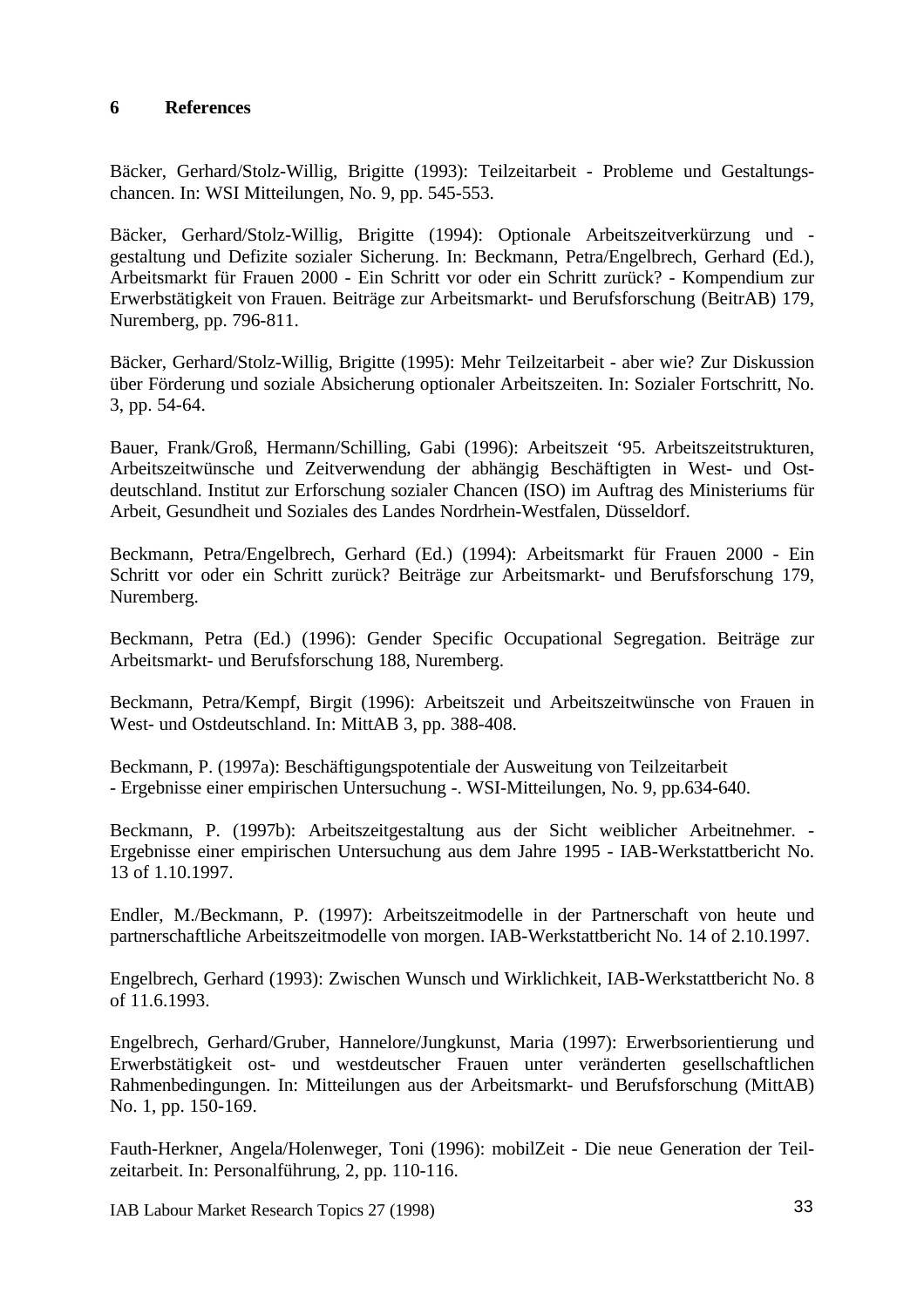# **6 References**

Bäcker, Gerhard/Stolz-Willig, Brigitte (1993): Teilzeitarbeit - Probleme und Gestaltungschancen. In: WSI Mitteilungen, No. 9, pp. 545-553.

Bäcker, Gerhard/Stolz-Willig, Brigitte (1994): Optionale Arbeitszeitverkürzung und gestaltung und Defizite sozialer Sicherung. In: Beckmann, Petra/Engelbrech, Gerhard (Ed.), Arbeitsmarkt für Frauen 2000 - Ein Schritt vor oder ein Schritt zurück? - Kompendium zur Erwerbstätigkeit von Frauen. Beiträge zur Arbeitsmarkt- und Berufsforschung (BeitrAB) 179, Nuremberg, pp. 796-811.

Bäcker, Gerhard/Stolz-Willig, Brigitte (1995): Mehr Teilzeitarbeit - aber wie? Zur Diskussion über Förderung und soziale Absicherung optionaler Arbeitszeiten. In: Sozialer Fortschritt, No. 3, pp. 54-64.

Bauer, Frank/Groß, Hermann/Schilling, Gabi (1996): Arbeitszeit '95. Arbeitszeitstrukturen, Arbeitszeitwünsche und Zeitverwendung der abhängig Beschäftigten in West- und Ostdeutschland. Institut zur Erforschung sozialer Chancen (ISO) im Auftrag des Ministeriums für Arbeit, Gesundheit und Soziales des Landes Nordrhein-Westfalen, Düsseldorf.

Beckmann, Petra/Engelbrech, Gerhard (Ed.) (1994): Arbeitsmarkt für Frauen 2000 - Ein Schritt vor oder ein Schritt zurück? Beiträge zur Arbeitsmarkt- und Berufsforschung 179, Nuremberg.

Beckmann, Petra (Ed.) (1996): Gender Specific Occupational Segregation. Beiträge zur Arbeitsmarkt- und Berufsforschung 188, Nuremberg.

Beckmann, Petra/Kempf, Birgit (1996): Arbeitszeit und Arbeitszeitwünsche von Frauen in West- und Ostdeutschland. In: MittAB 3, pp. 388-408.

Beckmann, P. (1997a): Beschäftigungspotentiale der Ausweitung von Teilzeitarbeit - Ergebnisse einer empirischen Untersuchung -. WSI-Mitteilungen, No. 9, pp.634-640.

Beckmann, P. (1997b): Arbeitszeitgestaltung aus der Sicht weiblicher Arbeitnehmer. - Ergebnisse einer empirischen Untersuchung aus dem Jahre 1995 - IAB-Werkstattbericht No. 13 of 1.10.1997.

Endler, M./Beckmann, P. (1997): Arbeitszeitmodelle in der Partnerschaft von heute und partnerschaftliche Arbeitszeitmodelle von morgen. IAB-Werkstattbericht No. 14 of 2.10.1997.

Engelbrech, Gerhard (1993): Zwischen Wunsch und Wirklichkeit, IAB-Werkstattbericht No. 8 of 11.6.1993.

Engelbrech, Gerhard/Gruber, Hannelore/Jungkunst, Maria (1997): Erwerbsorientierung und Erwerbstätigkeit ost- und westdeutscher Frauen unter veränderten gesellschaftlichen Rahmenbedingungen. In: Mitteilungen aus der Arbeitsmarkt- und Berufsforschung (MittAB) No. 1, pp. 150-169.

Fauth-Herkner, Angela/Holenweger, Toni (1996): mobilZeit - Die neue Generation der Teilzeitarbeit. In: Personalführung, 2, pp. 110-116.

IAB Labour Market Research Topics 27 (1998) 33